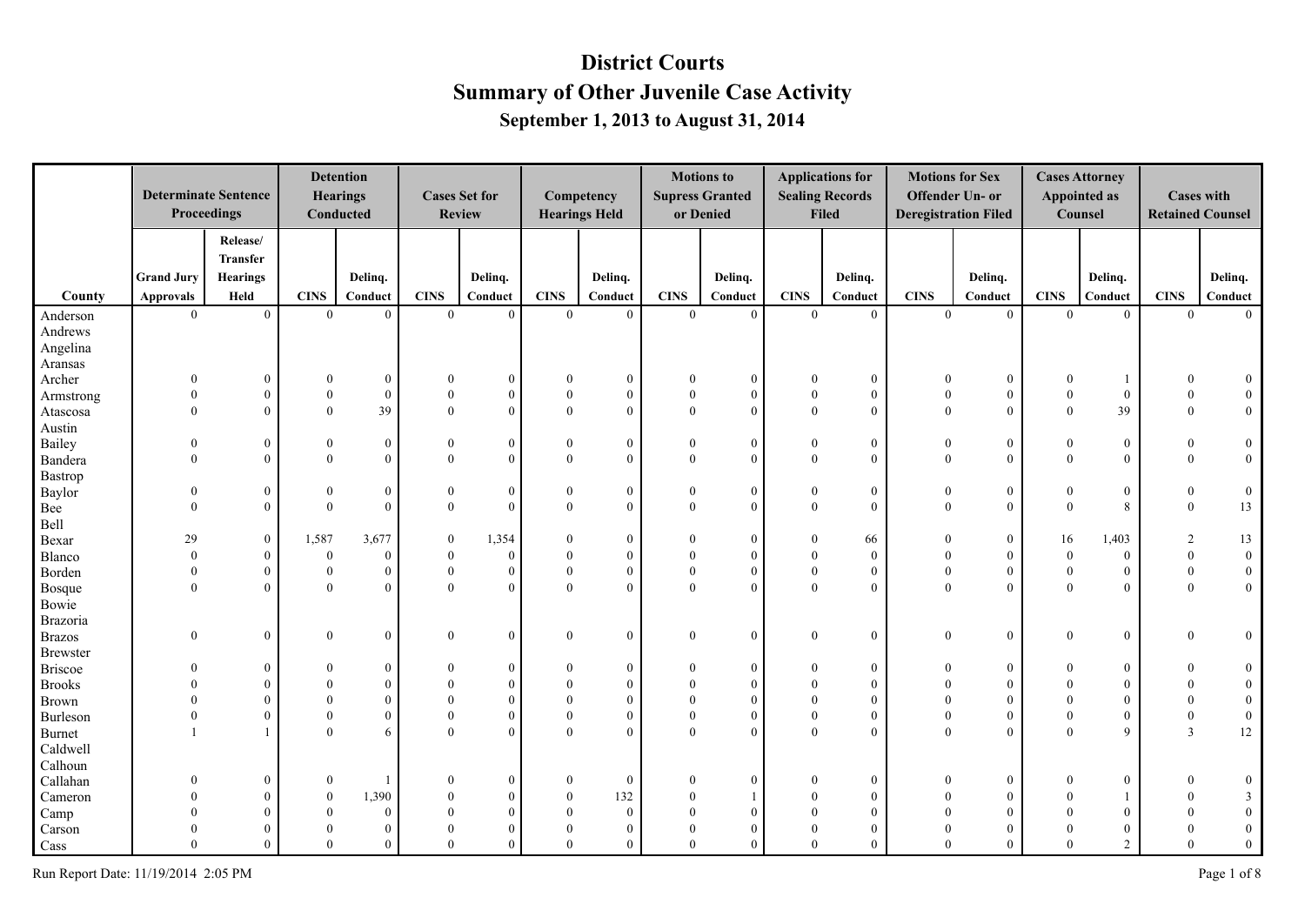|                 |                   | <b>Determinate Sentence</b><br>Proceedings |                | <b>Detention</b><br><b>Hearings</b><br>Conducted |                | <b>Cases Set for</b><br><b>Review</b> |                  | Competency<br><b>Hearings Held</b> |                  | <b>Motions</b> to<br><b>Supress Granted</b><br>or Denied |                | <b>Applications for</b><br><b>Sealing Records</b><br><b>Filed</b> |                  | <b>Motions for Sex</b><br><b>Offender Un- or</b><br><b>Deregistration Filed</b> |                  | <b>Cases Attorney</b><br><b>Appointed as</b><br>Counsel | <b>Cases with</b><br><b>Retained Counsel</b> |                  |
|-----------------|-------------------|--------------------------------------------|----------------|--------------------------------------------------|----------------|---------------------------------------|------------------|------------------------------------|------------------|----------------------------------------------------------|----------------|-------------------------------------------------------------------|------------------|---------------------------------------------------------------------------------|------------------|---------------------------------------------------------|----------------------------------------------|------------------|
|                 |                   | Release/                                   |                |                                                  |                |                                       |                  |                                    |                  |                                                          |                |                                                                   |                  |                                                                                 |                  |                                                         |                                              |                  |
|                 |                   | <b>Transfer</b>                            |                |                                                  |                |                                       |                  |                                    |                  |                                                          |                |                                                                   |                  |                                                                                 |                  |                                                         |                                              |                  |
|                 | <b>Grand Jury</b> | <b>Hearings</b>                            |                | Deling.                                          |                | Delinq.                               |                  | Deling.                            |                  | Delinq.                                                  |                | Delinq.                                                           |                  | Deling.                                                                         |                  | Delinq.                                                 |                                              | Delinq.          |
| County          | <b>Approvals</b>  | Held                                       | <b>CINS</b>    | Conduct                                          | <b>CINS</b>    | Conduct                               | <b>CINS</b>      | Conduct                            | <b>CINS</b>      | Conduct                                                  | <b>CINS</b>    | Conduct                                                           | <b>CINS</b>      | Conduct                                                                         | <b>CINS</b>      | Conduct                                                 | <b>CINS</b>                                  | Conduct          |
| Anderson        | $\mathbf{0}$      | $\overline{0}$                             | $\overline{0}$ | $\mathbf{0}$                                     | $\overline{0}$ | $\overline{0}$                        | $\mathbf{0}$     | $\overline{0}$                     | $\overline{0}$   | $\theta$                                                 | $\overline{0}$ | $\overline{0}$                                                    | $\overline{0}$   | $\overline{0}$                                                                  | $\overline{0}$   | $\overline{0}$                                          | $\overline{0}$                               | $\theta$         |
| Andrews         |                   |                                            |                |                                                  |                |                                       |                  |                                    |                  |                                                          |                |                                                                   |                  |                                                                                 |                  |                                                         |                                              |                  |
| Angelina        |                   |                                            |                |                                                  |                |                                       |                  |                                    |                  |                                                          |                |                                                                   |                  |                                                                                 |                  |                                                         |                                              |                  |
| Aransas         |                   |                                            |                |                                                  |                |                                       |                  |                                    |                  |                                                          |                |                                                                   |                  |                                                                                 |                  |                                                         |                                              |                  |
| Archer          | $\theta$          | $\boldsymbol{0}$                           | $\Omega$       | $\mathbf{0}$                                     | $\theta$       | $\boldsymbol{0}$                      | $\Omega$         | $\mathbf{0}$                       | $\theta$         | $\mathbf{0}$                                             | 0              | $\boldsymbol{0}$                                                  | $\theta$         | $\boldsymbol{0}$                                                                | $\boldsymbol{0}$ |                                                         |                                              |                  |
| Armstrong       | $\mathbf{0}$      | $\overline{0}$                             | $\mathbf{0}$   | $\mathbf{0}$                                     | $\Omega$       | $\mathbf{0}$                          | $\boldsymbol{0}$ | $\mathbf{0}$                       | $\theta$         | $\mathbf{0}$                                             | $\theta$       | $\mathbf{0}$                                                      | $\Omega$         | $\bf{0}$                                                                        | $\mathbf{0}$     | $\mathbf{0}$                                            | $\theta$                                     | $\mathbf{0}$     |
| Atascosa        | $\mathbf{0}$      | $\overline{0}$                             | $\mathbf{0}$   | 39                                               | $\theta$       | $\mathbf{0}$                          | $\mathbf{0}$     | $\overline{0}$                     | $\mathbf{0}$     | $\overline{0}$                                           | $\overline{0}$ | $\theta$                                                          | $\theta$         | $\theta$                                                                        | $\mathbf{0}$     | 39                                                      | $\mathbf{0}$                                 | $\mathbf{0}$     |
| Austin          |                   |                                            |                |                                                  |                |                                       |                  |                                    |                  |                                                          |                |                                                                   |                  |                                                                                 |                  |                                                         |                                              |                  |
| Bailey          | $\mathbf{0}$      | $\mathbf{0}$                               | $\bf{0}$       | $\boldsymbol{0}$                                 | $\theta$       | $\bf{0}$                              | $\boldsymbol{0}$ | $\mathbf{0}$                       | $\boldsymbol{0}$ | $\overline{0}$                                           | $\mathbf{0}$   | $\boldsymbol{0}$                                                  | $\overline{0}$   | $\boldsymbol{0}$                                                                | $\bf{0}$         | $\boldsymbol{0}$                                        | $\bf{0}$                                     | $\boldsymbol{0}$ |
| Bandera         | $\theta$          | $\theta$                                   | $\mathbf{0}$   | $\mathbf{0}$                                     | $\mathbf{0}$   | $\mathbf{0}$                          | $\mathbf{0}$     | $\mathbf{0}$                       | $\mathbf{0}$     | $\mathbf{0}$                                             | $\overline{0}$ | $\mathbf{0}$                                                      | $\mathbf{0}$     | $\overline{0}$                                                                  | $\mathbf{0}$     | $\overline{0}$                                          | $\bf{0}$                                     | $\boldsymbol{0}$ |
| Bastrop         |                   |                                            |                |                                                  |                |                                       |                  |                                    |                  |                                                          |                |                                                                   |                  |                                                                                 |                  |                                                         |                                              |                  |
| Baylor          | $\overline{0}$    | $\theta$                                   | $\mathbf{0}$   | $\boldsymbol{0}$                                 | $\theta$       | $\bf{0}$                              | $\boldsymbol{0}$ | $\mathbf{0}$                       | $\boldsymbol{0}$ | $\bf{0}$                                                 | $\overline{0}$ | $\boldsymbol{0}$                                                  | $\boldsymbol{0}$ | $\mathbf{0}$                                                                    | $\mathbf{0}$     | $\boldsymbol{0}$                                        | $\bf{0}$                                     | $\boldsymbol{0}$ |
| Bee             | $\theta$          | $\theta$                                   | $\theta$       | $\theta$                                         | $\theta$       | $\mathbf{0}$                          | $\theta$         | $\theta$                           | $\theta$         | $\theta$                                                 | $\theta$       | $\theta$                                                          | $\theta$         | $\theta$                                                                        | $\theta$         | 8                                                       | $\theta$                                     | 13               |
| Bell            |                   |                                            |                |                                                  |                |                                       |                  |                                    |                  |                                                          |                |                                                                   |                  |                                                                                 |                  |                                                         |                                              |                  |
| Bexar           | 29                | $\overline{0}$                             | 1,587          | 3,677                                            | $\theta$       | 1,354                                 | $\theta$         | $\mathbf{0}$                       | $\theta$         | $\mathbf{0}$                                             | $\overline{0}$ | 66                                                                | $\Omega$         | $\mathbf{0}$                                                                    | 16               | 1,403                                                   | 2                                            | 13               |
| Blanco          | $\mathbf{0}$      | $\mathbf{0}$                               | $\mathbf{0}$   | $\mathbf{0}$                                     | $\theta$       | $\mathbf{0}$                          | $\theta$         | $\mathbf{0}$                       | $\theta$         | $\theta$                                                 | $\Omega$       | $\mathbf{0}$                                                      | $\Omega$         | $\Omega$                                                                        | $\mathbf{0}$     | $\overline{0}$                                          | $\theta$                                     | $\mathbf{0}$     |
| Borden          | $\mathbf{0}$      | $\overline{0}$                             | $\mathbf{0}$   | $\mathbf{0}$                                     | $\mathbf{0}$   | $\mathbf{0}$                          | $\mathbf{0}$     | $\mathbf{0}$                       | $\mathbf{0}$     | $\overline{0}$                                           | $\overline{0}$ | $\mathbf{0}$                                                      | $\theta$         | $\mathbf{0}$                                                                    | $\mathbf{0}$     | $\boldsymbol{0}$                                        | $\overline{0}$                               | $\overline{0}$   |
| Bosque          | $\theta$          | $\Omega$                                   | $\Omega$       | $\theta$                                         | $\Omega$       | $\theta$                              | $\theta$         | $\theta$                           | $\theta$         | $\theta$                                                 | $\theta$       | $\Omega$                                                          | $\Omega$         | $\theta$                                                                        | $\theta$         | $\theta$                                                | $\theta$                                     | $\overline{0}$   |
| Bowie           |                   |                                            |                |                                                  |                |                                       |                  |                                    |                  |                                                          |                |                                                                   |                  |                                                                                 |                  |                                                         |                                              |                  |
| Brazoria        |                   |                                            |                |                                                  |                |                                       |                  |                                    |                  |                                                          |                |                                                                   |                  |                                                                                 |                  |                                                         |                                              |                  |
| <b>Brazos</b>   | $\theta$          | $\theta$                                   | $\theta$       | $\mathbf{0}$                                     | $\mathbf{0}$   | $\boldsymbol{0}$                      | $\mathbf{0}$     | $\mathbf{0}$                       | $\mathbf{0}$     | $\overline{0}$                                           | $\overline{0}$ | $\boldsymbol{0}$                                                  | $\mathbf{0}$     | $\mathbf{0}$                                                                    | $\theta$         | $\boldsymbol{0}$                                        | $\mathbf{0}$                                 | $\overline{0}$   |
| <b>Brewster</b> |                   |                                            |                |                                                  |                |                                       |                  |                                    |                  |                                                          |                |                                                                   |                  |                                                                                 |                  |                                                         |                                              |                  |
| <b>Briscoe</b>  | $\Omega$          | $\Omega$                                   | $\mathbf{0}$   | $\mathbf{0}$                                     | $\theta$       | $\mathbf{0}$                          | $\theta$         | $\mathbf{0}$                       | $\theta$         | $\overline{0}$                                           | $\Omega$       | $\boldsymbol{0}$                                                  | $\Omega$         | $\theta$                                                                        | $\theta$         | $\overline{0}$                                          | $\theta$                                     | $\mathbf{0}$     |
| <b>Brooks</b>   | $\Omega$          | $\theta$                                   | $\Omega$       | $\mathbf{0}$                                     |                | $\mathbf{0}$                          | $\theta$         | $\mathbf{0}$                       | $\theta$         | $\mathbf{0}$                                             |                | $\mathbf{0}$                                                      | $\Omega$         | $\overline{0}$                                                                  | $\Omega$         | $\theta$                                                | $\Omega$                                     | $\overline{0}$   |
| <b>Brown</b>    | $\Omega$          | $\Omega$                                   | $\mathbf{0}$   | $\mathbf{0}$                                     |                | $\mathbf{0}$                          | $\mathbf{0}$     | $\mathbf{0}$                       | $\mathbf{0}$     | $\mathbf{0}$                                             |                | $\mathbf{0}$                                                      | $\theta$         | $\theta$                                                                        | $\Omega$         | $\theta$                                                | $\Omega$                                     | $\mathbf{0}$     |
| Burleson        | $\Omega$          | $\Omega$                                   | $\mathbf{0}$   | $\mathbf{0}$                                     | $\Omega$       | $\mathbf{0}$                          | $\mathbf{0}$     | $\mathbf{0}$                       | $\mathbf{0}$     | $\mathbf{0}$                                             | $\theta$       | $\Omega$                                                          | $\Omega$         | $\theta$                                                                        | $\theta$         | $\mathbf{0}$                                            | $\mathbf{0}$                                 | $\boldsymbol{0}$ |
| <b>Burnet</b>   |                   |                                            | $\theta$       | 6                                                | $\Omega$       | $\mathbf{0}$                          | $\theta$         | $\theta$                           | $\mathbf{0}$     | $\theta$                                                 | $\theta$       | $\Omega$                                                          | $\Omega$         | $\Omega$                                                                        | $\theta$         | 9                                                       | $\overline{3}$                               | $12\,$           |
| Caldwell        |                   |                                            |                |                                                  |                |                                       |                  |                                    |                  |                                                          |                |                                                                   |                  |                                                                                 |                  |                                                         |                                              |                  |
| Calhoun         |                   |                                            |                |                                                  |                |                                       |                  |                                    |                  |                                                          |                |                                                                   |                  |                                                                                 |                  |                                                         |                                              |                  |
| Callahan        | $\overline{0}$    | $\theta$                                   | $\bf{0}$       | $\mathbf{1}$                                     | $\theta$       | $\boldsymbol{0}$                      | $\bf{0}$         | $\mathbf{0}$                       | $\theta$         | $\mathbf{0}$                                             | $\overline{0}$ | $\boldsymbol{0}$                                                  | $\Omega$         | $\boldsymbol{0}$                                                                | $\mathbf{0}$     | $\mathbf{0}$                                            | $\Omega$                                     | $\overline{0}$   |
| Cameron         | $\Omega$          | $\theta$                                   | $\mathbf{0}$   | 1,390                                            |                | $\mathbf{0}$                          | $\bf{0}$         | 132                                | $\theta$         | $\mathbf{1}$                                             |                | $\mathbf{0}$                                                      |                  | $\overline{0}$                                                                  | $\Omega$         |                                                         |                                              | 3                |
| Camp            | $\Omega$          | $\Omega$                                   | $\theta$       | $\mathbf{0}$                                     |                | $\boldsymbol{0}$                      | $\theta$         | $\mathbf{0}$                       | $\theta$         | $\mathbf{0}$                                             |                | $\Omega$                                                          |                  | $\theta$                                                                        | $\theta$         | $\theta$                                                |                                              | $\overline{0}$   |
| Carson          | $\Omega$          | $\Omega$                                   | $\theta$       | $\boldsymbol{0}$                                 |                | $\boldsymbol{0}$                      | $\mathbf{0}$     | $\mathbf{0}$                       | $\theta$         | $\mathbf{0}$                                             |                | $\Omega$                                                          | $\Omega$         | $\theta$                                                                        | $\Omega$         | $\theta$                                                |                                              | $\boldsymbol{0}$ |
| Cass            | $\Omega$          | $\Omega$                                   | $\theta$       | $\mathbf{0}$                                     | $\Omega$       | $\mathbf{0}$                          | $\theta$         | $\mathbf{0}$                       | $\theta$         | $\theta$                                                 | $\theta$       | $\mathbf{0}$                                                      | $\Omega$         | $\theta$                                                                        | $\theta$         | $\overline{c}$                                          | $\theta$                                     | $\mathbf{0}$     |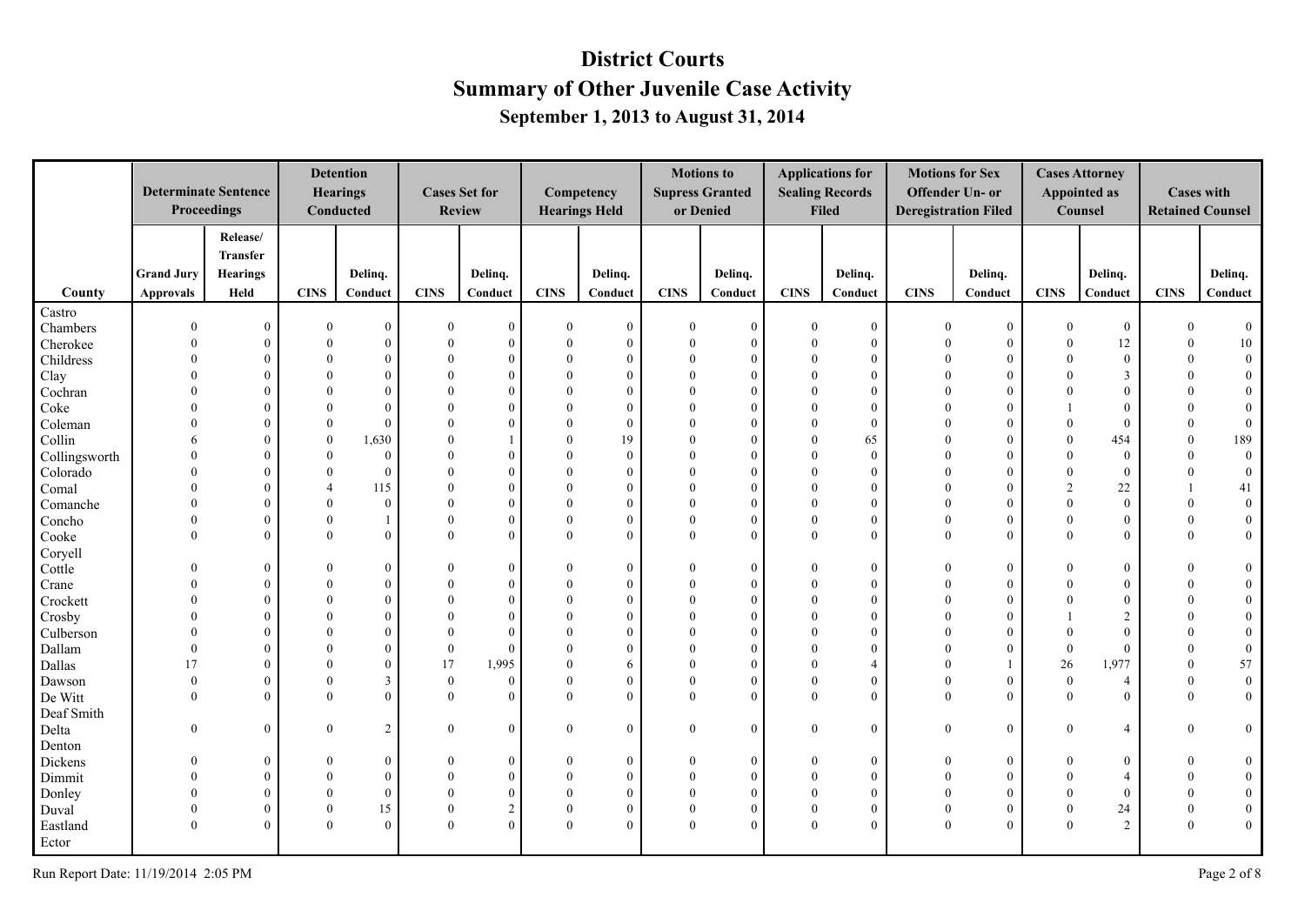|               |                   | <b>Determinate Sentence</b><br>Proceedings |                | <b>Detention</b><br><b>Hearings</b><br>Conducted |              | <b>Cases Set for</b><br><b>Review</b> |              | Competency<br><b>Hearings Held</b> |                | <b>Motions to</b><br><b>Supress Granted</b><br>or Denied |                | <b>Applications for</b><br><b>Sealing Records</b><br><b>Filed</b> | <b>Motions for Sex</b> | Offender Un- or<br><b>Deregistration Filed</b> |                | <b>Cases Attorney</b><br><b>Appointed as</b><br>Counsel | <b>Cases with</b><br><b>Retained Counsel</b> |                  |
|---------------|-------------------|--------------------------------------------|----------------|--------------------------------------------------|--------------|---------------------------------------|--------------|------------------------------------|----------------|----------------------------------------------------------|----------------|-------------------------------------------------------------------|------------------------|------------------------------------------------|----------------|---------------------------------------------------------|----------------------------------------------|------------------|
|               |                   | Release/                                   |                |                                                  |              |                                       |              |                                    |                |                                                          |                |                                                                   |                        |                                                |                |                                                         |                                              |                  |
|               |                   | Transfer                                   |                |                                                  |              |                                       |              |                                    |                |                                                          |                |                                                                   |                        |                                                |                |                                                         |                                              |                  |
|               | <b>Grand Jury</b> | <b>Hearings</b>                            |                | Delinq.                                          |              | Delinq.                               |              | Delinq.                            |                | Delinq.                                                  |                | Delinq.                                                           |                        | Delinq.                                        |                | Delinq.                                                 |                                              | Delinq.          |
| County        | <b>Approvals</b>  | Held                                       | <b>CINS</b>    | Conduct                                          | <b>CINS</b>  | Conduct                               | <b>CINS</b>  | Conduct                            | <b>CINS</b>    | Conduct                                                  | <b>CINS</b>    | Conduct                                                           | <b>CINS</b>            | Conduct                                        | <b>CINS</b>    | Conduct                                                 | <b>CINS</b>                                  | Conduct          |
| Castro        |                   |                                            |                |                                                  |              |                                       |              |                                    |                |                                                          |                |                                                                   |                        |                                                |                |                                                         |                                              |                  |
| Chambers      | $\theta$          | $\overline{0}$                             | $\theta$       | $\theta$                                         | $\Omega$     | $\bf{0}$                              | $\bf{0}$     | $\mathbf{0}$                       | $\overline{0}$ | $\theta$                                                 | $\mathbf{0}$   | $\mathbf{0}$                                                      | $\mathbf{0}$           | $\overline{0}$                                 | $\mathbf{0}$   | $\mathbf{0}$                                            | $\Omega$                                     | $\overline{0}$   |
| Cherokee      | $\Omega$          | $\theta$                                   | $\theta$       | $\Omega$                                         |              | $\mathbf{0}$                          | $\mathbf{0}$ | $\theta$                           | $\Omega$       | $\theta$                                                 | $\Omega$       | $\overline{0}$                                                    | $\Omega$               | $\overline{0}$                                 | $\theta$       | 12                                                      | $\theta$                                     | $10\,$           |
| Childress     | $\Omega$          | $\theta$                                   | $\theta$       | $\Omega$                                         |              | $\theta$                              | $\theta$     | $\theta$                           | $\Omega$       | $\theta$                                                 | $\Omega$       | $\theta$                                                          | $\Omega$               | $\overline{0}$                                 | $\theta$       | $\overline{0}$                                          | $\Omega$                                     | $\mathbf{0}$     |
| Clay          | $\Omega$          | $\theta$                                   | $\theta$       | $\Omega$                                         |              | $\theta$                              | $\theta$     | $\Omega$                           | $\Omega$       | $\Omega$                                                 | $\Omega$       | $\Omega$                                                          | $\Omega$               | $\theta$                                       | $\Omega$       | 3                                                       | $\Omega$                                     | $\overline{0}$   |
| Cochran       |                   | $\theta$                                   | $\theta$       | $\Omega$                                         |              | $\theta$                              | $\theta$     | $\theta$                           | $\Omega$       | $\Omega$                                                 |                | $\Omega$                                                          | $\Omega$               | $\overline{0}$                                 | $\theta$       | $\theta$                                                |                                              | $\overline{0}$   |
| Coke          |                   | $\theta$                                   | $\theta$       | $\Omega$                                         |              | $\Omega$                              | $\theta$     | $\theta$                           | $\Omega$       | $\Omega$                                                 | $\Omega$       | $\theta$                                                          | $\Omega$               | $\Omega$                                       | $\mathbf{1}$   | $\mathbf{0}$                                            | $\Omega$                                     | $\overline{0}$   |
| Coleman       | $\Omega$          | $\theta$                                   | $\theta$       | $\Omega$                                         |              | $\Omega$                              | $\Omega$     | $\theta$                           | $\Omega$       | $\Omega$                                                 | $\Omega$       | $\theta$                                                          | $\Omega$               | $\theta$                                       | $\theta$       | $\mathbf{0}$                                            | $\Omega$                                     | $\overline{0}$   |
| Collin        | 6                 | $\theta$                                   | $\mathbf{0}$   | 1,630                                            |              |                                       | $\mathbf{0}$ | 19                                 | $\theta$       | $\Omega$                                                 | $\Omega$       | 65                                                                | $\Omega$               | $\overline{0}$                                 | $\mathbf{0}$   | 454                                                     | $\theta$                                     | 189              |
| Collingsworth | $\Omega$          | $\theta$                                   | $\theta$       | $\theta$                                         |              | $\theta$                              | $\theta$     | $\theta$                           | $\Omega$       | $\Omega$                                                 | $\Omega$       | $\theta$                                                          | $\Omega$               | $\theta$                                       | $\Omega$       | $\mathbf{0}$                                            | $\Omega$                                     | $\overline{0}$   |
| Colorado      | $\Omega$          | $\Omega$                                   | $\theta$       | $\Omega$                                         |              | $\theta$                              | $\theta$     | $\Omega$                           | $\Omega$       | $\Omega$                                                 | $\Omega$       | $\Omega$                                                          | $\Omega$               | $\theta$                                       | $\theta$       | $\overline{0}$                                          | $\theta$                                     | $\overline{0}$   |
| Comal         | $\Omega$          | $\Omega$                                   | $\overline{4}$ | 115                                              |              | $\Omega$                              | $\Omega$     | $\Omega$                           | $\Omega$       | $\Omega$                                                 | $\Omega$       | $\Omega$                                                          | $\Omega$               | $\Omega$                                       | $\overline{2}$ | 22                                                      |                                              | 41               |
| Comanche      | $\Omega$          | $\overline{0}$                             | $\mathbf{0}$   | $\mathbf{0}$                                     |              | $\mathbf{0}$                          | $\mathbf{0}$ | $\mathbf{0}$                       | $\mathbf{0}$   | $\Omega$                                                 | $\Omega$       | $\theta$                                                          | $\Omega$               | $\overline{0}$                                 | $\theta$       | $\mathbf{0}$                                            | $\mathbf{0}$                                 | $\boldsymbol{0}$ |
| Concho        | $\Omega$          | $\overline{0}$                             | $\mathbf{0}$   |                                                  |              | $\overline{0}$                        | $\mathbf{0}$ | $\mathbf{0}$                       | $\mathbf{0}$   | $\theta$                                                 | $\Omega$       | $\Omega$                                                          | $\Omega$               | $\overline{0}$                                 | $\Omega$       | $\boldsymbol{0}$                                        | $\Omega$                                     | $\boldsymbol{0}$ |
| Cooke         | $\Omega$          | $\overline{0}$                             | $\theta$       | $\mathbf{0}$                                     | $\Omega$     | $\mathbf{0}$                          | $\mathbf{0}$ | $\mathbf{0}$                       | $\mathbf{0}$   | $\mathbf{0}$                                             | $\Omega$       | $\overline{0}$                                                    | $\theta$               | $\overline{0}$                                 | $\theta$       | $\mathbf{0}$                                            | $\theta$                                     | $\bf{0}$         |
| Coryell       |                   |                                            |                |                                                  |              |                                       |              |                                    |                |                                                          |                |                                                                   |                        |                                                |                |                                                         |                                              |                  |
| Cottle        | $\Omega$          | $\overline{0}$                             | $\theta$       | $\Omega$                                         |              | $\mathbf{0}$                          | $\bf{0}$     | $\boldsymbol{0}$                   | $\theta$       | $\mathbf{0}$                                             | $\Omega$       | $\overline{0}$                                                    | $\theta$               | $\overline{0}$                                 | $\theta$       | $\boldsymbol{0}$                                        |                                              | $\boldsymbol{0}$ |
| Crane         | $\Omega$          | $\overline{0}$                             | $\theta$       | $\Omega$                                         |              | $\theta$                              | $\mathbf{0}$ | $\theta$                           | $\Omega$       | $\theta$                                                 | $\Omega$       | $\theta$                                                          | $\Omega$               | $\overline{0}$                                 | $\Omega$       | $\mathbf{0}$                                            | $\Omega$                                     | $\bf{0}$         |
| Crockett      | $\Omega$          | $\mathbf{0}$                               | $\Omega$       | $\Omega$                                         |              | $\Omega$                              | $\theta$     | $\Omega$                           | $\Omega$       | $\Omega$                                                 | $\Omega$       | $\theta$                                                          | $\Omega$               | $\theta$                                       | $\Omega$       | $\theta$                                                | $\Omega$                                     | $\bf{0}$         |
| Crosby        | $\Omega$          | $\overline{0}$                             | $\theta$       | $\Omega$                                         |              | $\theta$                              | $\theta$     | $\theta$                           | $\Omega$       | $\Omega$                                                 | $\Omega$       | $\theta$                                                          | $\Omega$               | $\overline{0}$                                 |                | $\overline{2}$                                          | $\theta$                                     | $\boldsymbol{0}$ |
| Culberson     | $\Omega$          | $\mathbf{0}$                               | $\theta$       | $\Omega$                                         |              | $\Omega$                              | $\theta$     | $\Omega$                           | $\Omega$       | $\Omega$                                                 | $\Omega$       | $\Omega$                                                          | $\Omega$               | $\theta$                                       | $\theta$       | $\mathbf{0}$                                            | $\Omega$                                     | $\boldsymbol{0}$ |
| Dallam        | $\Omega$          | $\theta$                                   | $\theta$       | $\Omega$                                         | $\theta$     | $\theta$                              | $\theta$     | $\theta$                           | $\Omega$       | $\theta$                                                 | $\Omega$       | $\Omega$                                                          | $\Omega$               | $\theta$                                       | $\mathbf{0}$   | $\mathbf{0}$                                            | $\theta$                                     | $\boldsymbol{0}$ |
| Dallas        | 17                | $\overline{0}$                             | $\theta$       | $\Omega$                                         | 17           | 1,995                                 | $\theta$     | 6                                  | $\theta$       | $\Omega$                                                 | $\Omega$       | $\overline{A}$                                                    | $\Omega$               | $\mathbf{1}$                                   | 26             | 1,977                                                   | $\theta$                                     | 57               |
| Dawson        | $\mathbf{0}$      | $\overline{0}$                             | $\mathbf{0}$   | 3                                                | $\mathbf{0}$ | $\mathbf{0}$                          | $\mathbf{0}$ | $\mathbf{0}$                       | $\mathbf{0}$   | $\theta$                                                 | $\theta$       | $\overline{0}$                                                    | $\theta$               | $\overline{0}$                                 | $\mathbf{0}$   | $\overline{4}$                                          | $\mathbf{0}$                                 | $\boldsymbol{0}$ |
| De Witt       | $\Omega$          | $\theta$                                   | $\theta$       | $\Omega$                                         | $\theta$     | $\mathbf{0}$                          | $\mathbf{0}$ | $\theta$                           | $\theta$       | $\theta$                                                 | $\theta$       | $\theta$                                                          | $\theta$               | $\overline{0}$                                 | $\theta$       | $\overline{0}$                                          | $\theta$                                     | $\overline{0}$   |
| Deaf Smith    |                   |                                            |                |                                                  |              |                                       |              |                                    |                |                                                          |                |                                                                   |                        |                                                |                |                                                         |                                              |                  |
| Delta         | $\theta$          | $\overline{0}$                             | $\mathbf{0}$   | $\overline{2}$                                   | $\theta$     | $\theta$                              | $\mathbf{0}$ | $\theta$                           | $\overline{0}$ | $\Omega$                                                 | $\overline{0}$ | $\theta$                                                          | $\theta$               | $\overline{0}$                                 | $\theta$       | $\overline{4}$                                          | $\Omega$                                     | $\overline{0}$   |
| Denton        |                   |                                            |                |                                                  |              |                                       |              |                                    |                |                                                          |                |                                                                   |                        |                                                |                |                                                         |                                              |                  |
| Dickens       | $\Omega$          | $\overline{0}$                             | $\theta$       | $\Omega$                                         | $\Omega$     | $\theta$                              | $\mathbf{0}$ | $\mathbf{0}$                       | $\theta$       | $\theta$                                                 | $\Omega$       | $\overline{0}$                                                    | $\Omega$               | $\overline{0}$                                 | $\Omega$       | $\overline{0}$                                          | $\Omega$                                     | $\bf{0}$         |
| Dimmit        | $\Omega$          | $\mathbf{0}$                               | $\theta$       | $\Omega$                                         |              | $\theta$                              | $\theta$     | $\theta$                           | $\theta$       | $\Omega$                                                 | $\Omega$       | $\theta$                                                          | $\Omega$               | $\theta$                                       | $\Omega$       | $\overline{4}$                                          | $\Omega$                                     | $\overline{0}$   |
| Donley        | $\Omega$          | $\overline{0}$                             | $\mathbf{0}$   | $\mathbf{0}$                                     |              | $\mathbf{0}$                          | $\mathbf{0}$ | $\theta$                           | $\theta$       | $\Omega$                                                 | $\Omega$       | $\overline{0}$                                                    | $\Omega$               | $\overline{0}$                                 | $\theta$       | $\mathbf{0}$                                            | $\theta$                                     | $\mathbf{0}$     |
| Duval         | $\Omega$          | $\overline{0}$                             | $\mathbf{0}$   | 15                                               |              | $\overline{2}$                        | $\mathbf{0}$ | $\theta$                           | $\mathbf{0}$   | $\theta$                                                 | $\Omega$       | $\Omega$                                                          | $\theta$               | $\overline{0}$                                 | $\theta$       | 24                                                      | $\theta$                                     | $\boldsymbol{0}$ |
| Eastland      | $\Omega$          | $\theta$                                   | $\theta$       | $\Omega$                                         | $\Omega$     | $\theta$                              | $\mathbf{0}$ | $\theta$                           | $\theta$       | $\Omega$                                                 | $\theta$       | $\Omega$                                                          | $\Omega$               | $\theta$                                       | $\Omega$       | $\overline{2}$                                          | $\theta$                                     | $\mathbf{0}$     |
| Ector         |                   |                                            |                |                                                  |              |                                       |              |                                    |                |                                                          |                |                                                                   |                        |                                                |                |                                                         |                                              |                  |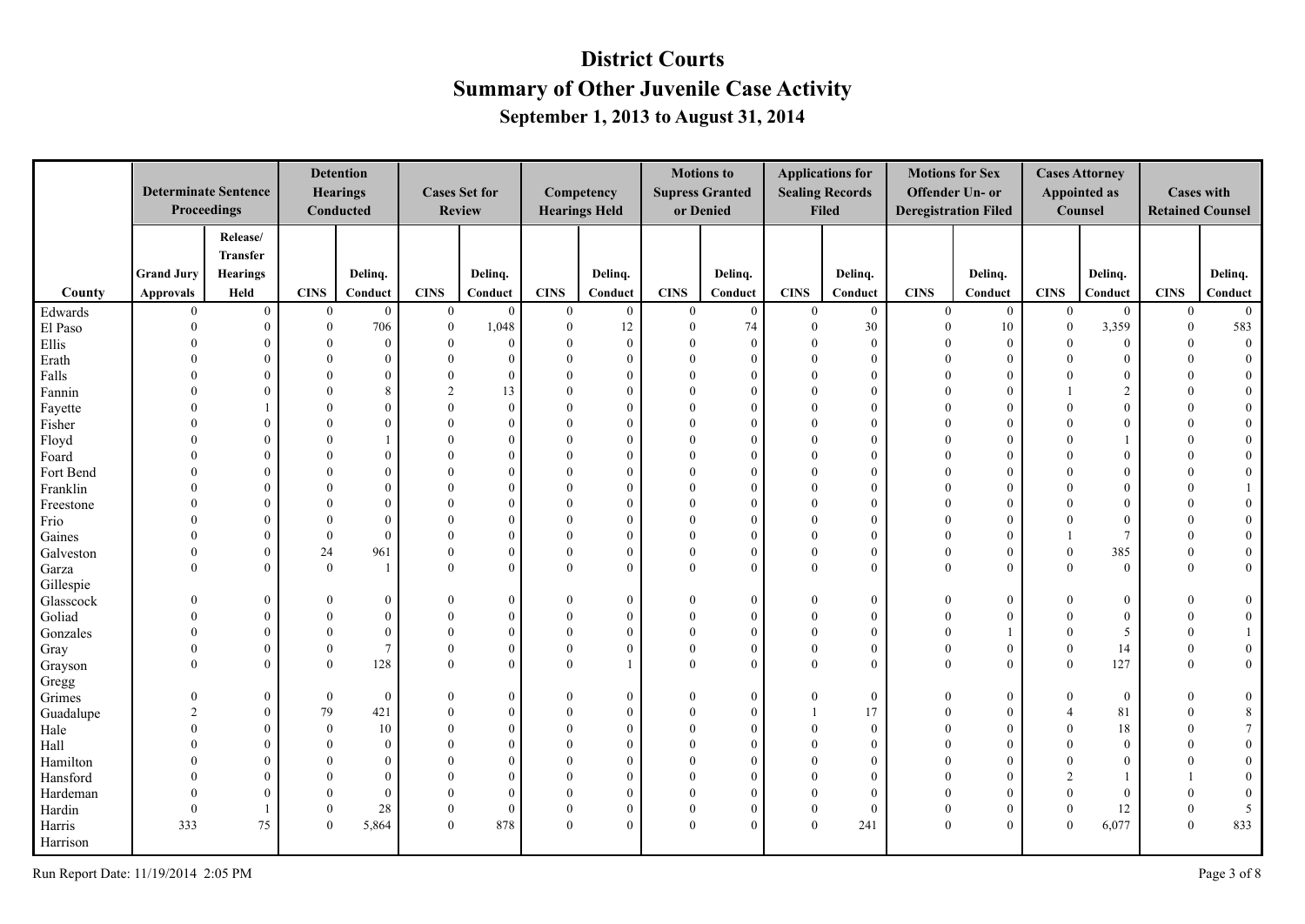|           |                   | <b>Determinate Sentence</b><br>Proceedings |              | <b>Detention</b><br><b>Hearings</b><br>Conducted |              | <b>Cases Set for</b><br><b>Review</b> |                  | Competency<br><b>Hearings Held</b> |                | <b>Motions to</b><br><b>Supress Granted</b><br>or Denied |              | <b>Applications for</b><br><b>Sealing Records</b><br><b>Filed</b> | <b>Motions for Sex</b> | Offender Un- or<br><b>Deregistration Filed</b> |                | <b>Cases Attorney</b><br><b>Appointed as</b><br>Counsel | <b>Cases with</b> | <b>Retained Counsel</b> |
|-----------|-------------------|--------------------------------------------|--------------|--------------------------------------------------|--------------|---------------------------------------|------------------|------------------------------------|----------------|----------------------------------------------------------|--------------|-------------------------------------------------------------------|------------------------|------------------------------------------------|----------------|---------------------------------------------------------|-------------------|-------------------------|
|           |                   | Release/                                   |              |                                                  |              |                                       |                  |                                    |                |                                                          |              |                                                                   |                        |                                                |                |                                                         |                   |                         |
|           |                   | <b>Transfer</b>                            |              |                                                  |              |                                       |                  |                                    |                |                                                          |              |                                                                   |                        |                                                |                |                                                         |                   |                         |
|           | <b>Grand Jury</b> | <b>Hearings</b>                            |              | Delinq.                                          |              | Delinq.                               |                  | Delinq.                            |                | Delinq.                                                  |              | Delinq.                                                           |                        | Delinq.                                        |                | Delinq.                                                 |                   | Delinq.                 |
| County    | <b>Approvals</b>  | Held                                       | <b>CINS</b>  | Conduct                                          | <b>CINS</b>  | Conduct                               | <b>CINS</b>      | Conduct                            | <b>CINS</b>    | Conduct                                                  | <b>CINS</b>  | Conduct                                                           | <b>CINS</b>            | Conduct                                        | <b>CINS</b>    | Conduct                                                 | <b>CINS</b>       | Conduct                 |
| Edwards   | $\overline{0}$    | $\mathbf{0}$                               | $\mathbf{0}$ | $\mathbf{0}$                                     | $\mathbf{0}$ | $\mathbf{0}$                          | $\overline{0}$   | $\mathbf{0}$                       | $\overline{0}$ | $\overline{0}$                                           | $\mathbf{0}$ | $\overline{0}$                                                    | $\overline{0}$         | $\overline{0}$                                 | $\mathbf{0}$   | $\mathbf{0}$                                            | $\overline{0}$    | $\overline{0}$          |
| El Paso   | $\theta$          | $\overline{0}$                             | $\mathbf{0}$ | 706                                              | $\mathbf{0}$ | 1,048                                 | $\boldsymbol{0}$ | 12                                 | $\mathbf{0}$   | 74                                                       | $\mathbf{0}$ | 30                                                                | $\mathbf{0}$           | 10                                             | $\mathbf{0}$   | 3,359                                                   | $\mathbf{0}$      | 583                     |
| Ellis     | $\Omega$          | $\theta$                                   | $\Omega$     | $\mathbf{0}$                                     |              | $\theta$                              | $\boldsymbol{0}$ | $\mathbf{0}$                       | $\Omega$       | $\theta$                                                 | $\Omega$     | $\mathbf{0}$                                                      | $\theta$               | $\overline{0}$                                 | $\mathbf{0}$   | $\boldsymbol{0}$                                        | $\theta$          | $\overline{0}$          |
| Erath     | $\Omega$          | $\Omega$                                   | $\Omega$     | $\Omega$                                         | $\Omega$     | $\Omega$                              | $\mathbf{0}$     | $\Omega$                           | $\Omega$       | $\Omega$                                                 | $\Omega$     | $\theta$                                                          | $\Omega$               | $\overline{0}$                                 | $\theta$       | $\boldsymbol{0}$                                        | $\Omega$          | $\mathbf{0}$            |
| Falls     | $\Omega$          | $\Omega$                                   | $\Omega$     | $\Omega$                                         | $\Omega$     | $\Omega$                              | $\theta$         | $\Omega$                           | $\Omega$       | $\Omega$                                                 | $\Omega$     | $\theta$                                                          | $\Omega$               | $\theta$                                       | $\Omega$       | $\mathbf{0}$                                            | $\Omega$          | $\mathbf{0}$            |
| Fannin    |                   | $\Omega$                                   | $\Omega$     | 8                                                |              | 13                                    | $\mathbf{0}$     | $\Omega$                           | $\Omega$       | $\Omega$                                                 | $\Omega$     | $\theta$                                                          | $\Omega$               | $\overline{0}$                                 |                | $\overline{2}$                                          |                   | $\boldsymbol{0}$        |
| Fayette   |                   |                                            | $\Omega$     | $\Omega$                                         |              | $\theta$                              | $\Omega$         | $\Omega$                           | $\Omega$       | $\Omega$                                                 | $\Omega$     | $\theta$                                                          | $\Omega$               | $\theta$                                       | $\Omega$       | $\theta$                                                |                   | $\boldsymbol{0}$        |
| Fisher    | $\Omega$          | $\Omega$                                   | $\Omega$     | $\Omega$                                         |              | $\Omega$                              | $\theta$         | $\Omega$                           | $\Omega$       | $\Omega$                                                 | $\Omega$     | $\theta$                                                          | $\Omega$               | $\theta$                                       | $\Omega$       | $\theta$                                                | $\Omega$          | $\boldsymbol{0}$        |
| Floyd     | $\Omega$          | $\theta$                                   | $\Omega$     |                                                  |              | $\Omega$                              | $\theta$         | $\Omega$                           | $\Omega$       | $\Omega$                                                 | $\Omega$     | $\theta$                                                          | $\Omega$               | $\theta$                                       | $\Omega$       |                                                         | $\Omega$          | $\mathbf{0}$            |
| Foard     | $\Omega$          | $\Omega$                                   | $\Omega$     | $\theta$                                         |              | $\Omega$                              | $\theta$         | $\Omega$                           | $\Omega$       | $\Omega$                                                 | $\Omega$     | $\mathbf{0}$                                                      | $\Omega$               | $\overline{0}$                                 | $\Omega$       | $\mathbf{0}$                                            |                   | $\mathbf{0}$            |
| Fort Bend | $\Omega$          | $\Omega$                                   | $\Omega$     | $\Omega$                                         |              | $\Omega$                              | $\Omega$         | $\Omega$                           | $\Omega$       | $\Omega$                                                 | $\Omega$     | $\theta$                                                          | $\Omega$               | $\overline{0}$                                 | $\Omega$       | $\theta$                                                |                   | $\overline{0}$          |
| Franklin  | $\Omega$          | $\Omega$                                   | $\Omega$     | $\Omega$                                         |              | $\Omega$                              | $\Omega$         | $\Omega$                           | $\Omega$       |                                                          | $\Omega$     | $\theta$                                                          | $\Omega$               | $\theta$                                       | $\Omega$       | $\theta$                                                |                   | 1                       |
| Freestone | $\Omega$          | $\Omega$                                   | $\Omega$     | $\Omega$                                         |              | $\Omega$                              | $\theta$         | $\Omega$                           | $\Omega$       | $\Omega$                                                 |              | $\Omega$                                                          | $\Omega$               | $\overline{0}$                                 | $\Omega$       | $\theta$                                                | $\Omega$          | $\overline{0}$          |
| Frio      |                   | $\theta$                                   | $\Omega$     | $\theta$                                         |              | $\Omega$                              | $\Omega$         | $\Omega$                           | $\Omega$       | $\Omega$                                                 |              | $\theta$                                                          | $\Omega$               | $\theta$                                       | $\Omega$       | $\theta$                                                |                   | $\overline{0}$          |
| Gaines    | $\theta$          | $\Omega$                                   | $\Omega$     | $\Omega$                                         |              | $\Omega$                              | $\theta$         | $\Omega$                           | $\Omega$       | $\Omega$                                                 | $\Omega$     | $\theta$                                                          | $\Omega$               | $\theta$                                       |                | $\overline{7}$                                          | $\Omega$          | $\boldsymbol{0}$        |
| Galveston | $\theta$          | $\theta$                                   | 24           | 961                                              | $\Omega$     | $\Omega$                              | $\theta$         | $\theta$                           | $\theta$       | $\Omega$                                                 | $\Omega$     | $\theta$                                                          | $\Omega$               | $\theta$                                       | $\mathbf{0}$   | 385                                                     | $\Omega$          | $\boldsymbol{0}$        |
| Garza     | $\theta$          | $\Omega$                                   | $\mathbf{0}$ | $\overline{1}$                                   | $\Omega$     | $\Omega$                              | $\mathbf{0}$     | $\theta$                           | $\theta$       | $\Omega$                                                 | $\theta$     | $\theta$                                                          | $\theta$               | $\overline{0}$                                 | $\theta$       | $\overline{0}$                                          | $\theta$          | $\mathbf{0}$            |
| Gillespie |                   |                                            |              |                                                  |              |                                       |                  |                                    |                |                                                          |              |                                                                   |                        |                                                |                |                                                         |                   |                         |
| Glasscock | $\Omega$          | $\theta$                                   | $\Omega$     | $\Omega$                                         | $\Omega$     | $\Omega$                              | $\mathbf{0}$     | $\mathbf{0}$                       | $\Omega$       | $\theta$                                                 | $\Omega$     | $\mathbf{0}$                                                      | $\Omega$               | $\mathbf{0}$                                   | $\Omega$       | $\boldsymbol{0}$                                        | $\Omega$          | $\mathbf{0}$            |
| Goliad    | $\Omega$          | $\theta$                                   | $\theta$     | $\theta$                                         |              | $\Omega$                              | $\theta$         | $\Omega$                           | $\Omega$       | $\Omega$                                                 | $\Omega$     | $\theta$                                                          | $\Omega$               | $\overline{0}$                                 | $\Omega$       | $\mathbf{0}$                                            | $\Omega$          | $\overline{0}$          |
| Gonzales  | $\Omega$          | $\theta$                                   | $\Omega$     | $\theta$                                         |              | $\Omega$                              | $\theta$         | $\Omega$                           | $\Omega$       | $\Omega$                                                 |              | $\theta$                                                          | $\Omega$               | 1                                              | $\Omega$       | 5                                                       | $\Omega$          | $\mathbf{1}$            |
| Gray      | $\Omega$          | $\Omega$                                   | $\theta$     | $7\overline{ }$                                  |              | $\Omega$                              | $\mathbf{0}$     | $\Omega$                           | $\Omega$       | $\Omega$                                                 | $\Omega$     | $\theta$                                                          | $\Omega$               | $\overline{0}$                                 | $\Omega$       | 14                                                      | $\theta$          | $\mathbf{0}$            |
| Grayson   | $\Omega$          | $\theta$                                   | $\Omega$     | 128                                              | $\Omega$     | $\Omega$                              | $\theta$         |                                    | $\Omega$       | $\Omega$                                                 | $\Omega$     | $\Omega$                                                          | $\Omega$               | $\theta$                                       | $\theta$       | 127                                                     | $\theta$          | $\overline{0}$          |
| Gregg     |                   |                                            |              |                                                  |              |                                       |                  |                                    |                |                                                          |              |                                                                   |                        |                                                |                |                                                         |                   |                         |
| Grimes    | $\Omega$          | $\theta$                                   | $\theta$     | $\mathbf{0}$                                     |              | $\Omega$                              | $\theta$         | $\theta$                           | $\Omega$       | $\theta$                                                 | $\Omega$     | $\boldsymbol{0}$                                                  | $\Omega$               | $\mathbf{0}$                                   | $\Omega$       | $\mathbf{0}$                                            |                   | $\mathbf{0}$            |
| Guadalupe | $\overline{2}$    | $\Omega$                                   | 79           | 421                                              | $\Omega$     | $\Omega$                              | $\theta$         | $\Omega$                           | $\Omega$       | $\Omega$                                                 |              | 17                                                                | $\Omega$               | $\overline{0}$                                 | $\overline{4}$ | 81                                                      | $\Omega$          | $\,8\,$                 |
| Hale      | $\Omega$          | $\Omega$                                   | $\theta$     | 10                                               |              | $\Omega$                              | $\Omega$         | $\Omega$                           | $\Omega$       | $\Omega$                                                 | $\Omega$     | $\theta$                                                          | $\Omega$               | $\Omega$                                       | $\Omega$       | 18                                                      | $\Omega$          | $7\overline{ }$         |
| Hall      |                   | $\Omega$                                   | $\Omega$     | $\theta$                                         |              | $\Omega$                              | $\Omega$         | $\Omega$                           | $\Omega$       | $\Omega$                                                 |              | $\theta$                                                          | $\Omega$               | $\theta$                                       | $\Omega$       | $\mathbf{0}$                                            |                   | $\mathbf{0}$            |
| Hamilton  |                   | $\Omega$                                   | $\Omega$     | $\Omega$                                         |              | $\Omega$                              | $\Omega$         | $\Omega$                           | $\Omega$       | $\Omega$                                                 |              | $\Omega$                                                          |                        | $\theta$                                       | $\Omega$       | $\mathbf{0}$                                            |                   | $\boldsymbol{0}$        |
| Hansford  | $\Omega$          | $\Omega$                                   | $\Omega$     | $\Omega$                                         |              | $\Omega$                              | $\Omega$         | $\Omega$                           | $\Omega$       | $\Omega$                                                 |              | $\theta$                                                          | $\Omega$               | $\Omega$                                       | $\mathfrak{D}$ |                                                         |                   | $\boldsymbol{0}$        |
| Hardeman  | $\Omega$          | $\Omega$                                   | $\Omega$     | $\theta$                                         |              | $\Omega$                              | $\theta$         | $\Omega$                           | $\Omega$       | $\Omega$                                                 | $\Omega$     | $\theta$                                                          | $\theta$               | $\overline{0}$                                 | $\Omega$       | $\mathbf{0}$                                            | $\Omega$          | $\overline{0}$          |
| Hardin    | $\Omega$          |                                            | $\Omega$     | 28                                               | $\Omega$     | $\theta$                              | $\boldsymbol{0}$ | $\mathbf{0}$                       | $\Omega$       | $\theta$                                                 | $\theta$     | $\mathbf{0}$                                                      | $\mathbf{0}$           | $\mathbf{0}$                                   | $\mathbf{0}$   | 12                                                      | $\mathbf{0}$      | 5                       |
| Harris    | 333               | 75                                         | $\Omega$     | 5,864                                            | $\theta$     | 878                                   | $\mathbf{0}$     | $\theta$                           | $\Omega$       | $\Omega$                                                 | $\Omega$     | 241                                                               | $\theta$               | $\overline{0}$                                 | $\Omega$       | 6,077                                                   | $\mathbf{0}$      | 833                     |
| Harrison  |                   |                                            |              |                                                  |              |                                       |                  |                                    |                |                                                          |              |                                                                   |                        |                                                |                |                                                         |                   |                         |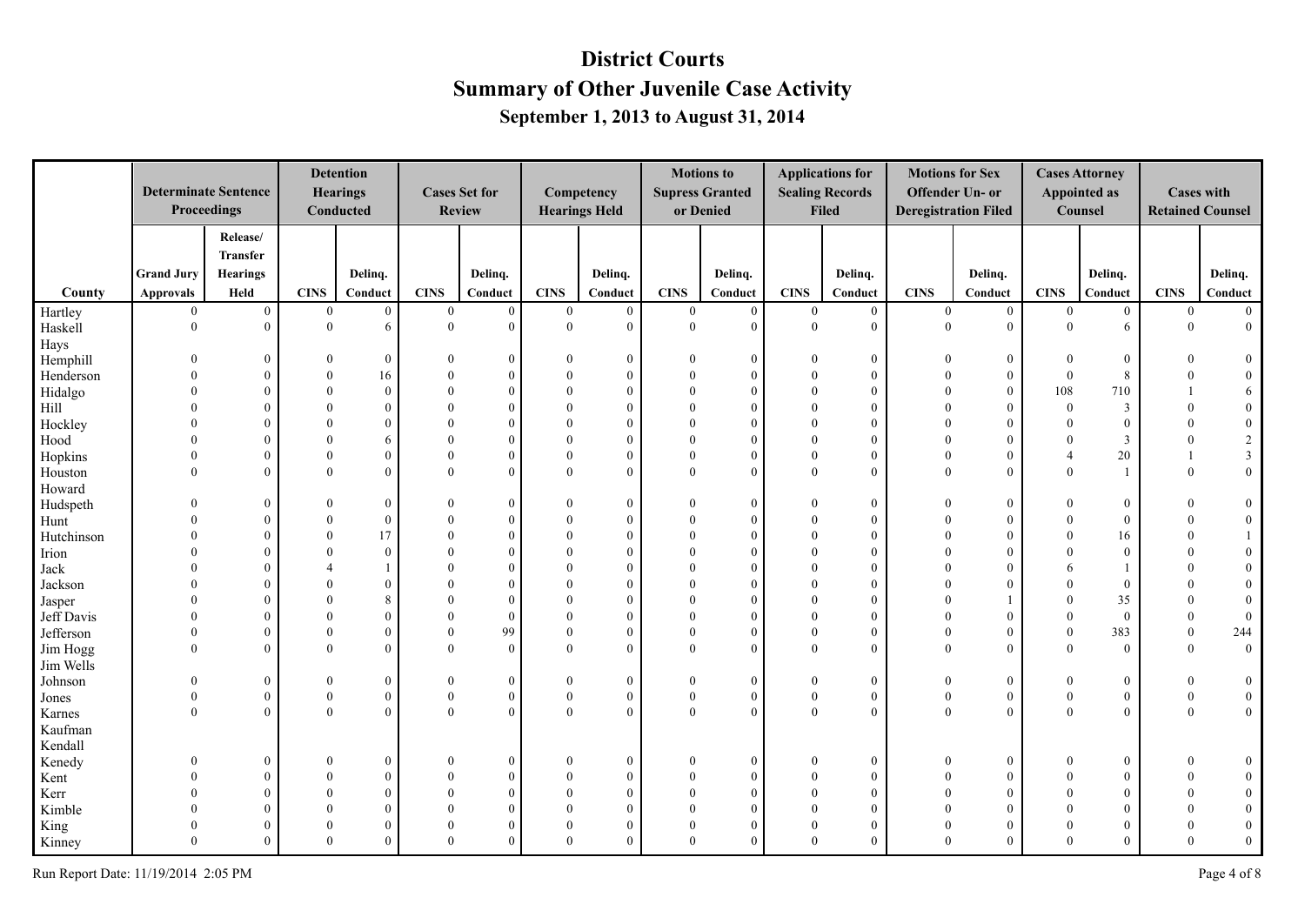|                    |                      | <b>Determinate Sentence</b><br>Proceedings |                              | <b>Detention</b><br><b>Hearings</b><br>Conducted |              | <b>Cases Set for</b><br>Review |                                  | Competency<br><b>Hearings Held</b> |                              | <b>Motions to</b><br><b>Supress Granted</b><br>or Denied |                      | <b>Applications for</b><br><b>Sealing Records</b><br><b>Filed</b> | <b>Motions for Sex</b> | Offender Un- or<br><b>Deregistration Filed</b> |                            | <b>Cases Attorney</b><br><b>Appointed as</b><br>Counsel | <b>Cases with</b>    | <b>Retained Counsel</b>        |
|--------------------|----------------------|--------------------------------------------|------------------------------|--------------------------------------------------|--------------|--------------------------------|----------------------------------|------------------------------------|------------------------------|----------------------------------------------------------|----------------------|-------------------------------------------------------------------|------------------------|------------------------------------------------|----------------------------|---------------------------------------------------------|----------------------|--------------------------------|
|                    |                      | Release/                                   |                              |                                                  |              |                                |                                  |                                    |                              |                                                          |                      |                                                                   |                        |                                                |                            |                                                         |                      |                                |
|                    |                      | <b>Transfer</b>                            |                              |                                                  |              |                                |                                  |                                    |                              |                                                          |                      |                                                                   |                        |                                                |                            |                                                         |                      |                                |
|                    | <b>Grand Jury</b>    | <b>Hearings</b>                            |                              | Delinq.                                          |              | Delinq.                        |                                  | Delinq.                            |                              | Delinq.                                                  |                      | Delinq.                                                           |                        | Delinq.                                        |                            | Delinq.                                                 |                      | Delinq.                        |
| County             | <b>Approvals</b>     | Held                                       | CINS                         | Conduct                                          | <b>CINS</b>  | Conduct                        | CINS                             | Conduct                            | <b>CINS</b>                  | Conduct                                                  | <b>CINS</b>          | Conduct                                                           | <b>CINS</b>            | Conduct                                        | <b>CINS</b>                | Conduct                                                 | <b>CINS</b>          | Conduct                        |
| Hartley            | $\overline{0}$       | $\overline{0}$                             | $\mathbf{0}$                 | $\mathbf{0}$                                     | $\mathbf{0}$ | $\boldsymbol{0}$               | $\boldsymbol{0}$                 | $\mathbf{0}$                       | $\overline{0}$               | $\mathbf{0}$                                             | $\boldsymbol{0}$     | $\boldsymbol{0}$                                                  | $\mathbf{0}$           | $\boldsymbol{0}$                               | $\boldsymbol{0}$           | $\mathbf{0}$                                            | $\mathbf{0}$         | $\overline{0}$                 |
| Haskell            | $\theta$             | $\overline{0}$                             | $\mathbf{0}$                 | 6                                                | $\theta$     | $\theta$                       | $\mathbf{0}$                     | $\theta$                           | $\mathbf{0}$                 | $\Omega$                                                 | $\overline{0}$       | $\theta$                                                          | $\theta$               | $\overline{0}$                                 | $\mathbf{0}$               | 6                                                       | $\mathbf{0}$         | $\overline{0}$                 |
| Hays               |                      |                                            |                              |                                                  |              |                                |                                  |                                    |                              |                                                          |                      |                                                                   |                        |                                                |                            |                                                         |                      |                                |
| Hemphill           | $\Omega$             | $\overline{0}$                             | $\theta$                     | $\Omega$                                         | $\Omega$     | $\overline{0}$                 | $\mathbf{0}$                     | $\theta$                           | $\Omega$                     | $\theta$                                                 | $\Omega$             | $\bf{0}$                                                          | $\Omega$               | $\overline{0}$                                 | $\mathbf{0}$               | $\boldsymbol{0}$                                        |                      | $\overline{0}$                 |
| Henderson          | $\Omega$             | $\theta$                                   | $\theta$                     | 16                                               |              | $\mathbf{0}$                   | $\theta$                         | $\theta$                           | $\Omega$                     | $\theta$                                                 | $\Omega$             | $\theta$                                                          | $\Omega$               | $\overline{0}$                                 | $\mathbf{0}$               | 8                                                       |                      | $\mathbf{0}$                   |
| Hidalgo            |                      | $\theta$                                   | $\theta$                     | $\theta$                                         |              | $\theta$                       | $\mathbf{0}$                     | $\theta$                           | $\Omega$                     | $\Omega$                                                 |                      | $\Omega$                                                          | $\Omega$               | $\overline{0}$                                 | 108                        | 710                                                     |                      | 6                              |
| Hill               | $\Omega$             | $\theta$                                   | $\theta$<br>$\theta$         | $\Omega$                                         |              | $\Omega$<br>$\theta$           | $\theta$<br>$\Omega$             | $\Omega$<br>$\Omega$               | $\Omega$<br>$\Omega$         | $\Omega$                                                 | $\Omega$<br>$\Omega$ | $\Omega$<br>$\Omega$                                              | $\Omega$<br>$\Omega$   | $\theta$                                       | $\theta$<br>$\theta$       | 3                                                       | $\Omega$<br>$\Omega$ | $\boldsymbol{0}$               |
| Hockley            |                      | $\theta$                                   |                              | $\Omega$                                         |              |                                |                                  |                                    |                              | $\Omega$                                                 |                      |                                                                   | $\theta$               | $\theta$                                       |                            | $\mathbf{0}$                                            |                      | $\boldsymbol{0}$               |
| Hood               | $\Omega$<br>$\Omega$ | $\overline{0}$                             | $\mathbf{0}$<br>$\mathbf{0}$ | 6                                                |              | $\mathbf{0}$                   | $\mathbf{0}$                     | $\mathbf{0}$                       | $\mathbf{0}$<br>$\mathbf{0}$ | $\Omega$                                                 | $\theta$<br>$\Omega$ | $\overline{0}$                                                    | $\theta$               | $\mathbf{0}$                                   | $\theta$<br>$\overline{4}$ | $\mathfrak{Z}$                                          | $\theta$             | $\sqrt{2}$                     |
| Hopkins            | $\Omega$             | $\overline{0}$<br>$\theta$                 | $\theta$                     | $\theta$<br>$\Omega$                             | $\Omega$     | $\mathbf{0}$<br>$\theta$       | $\boldsymbol{0}$<br>$\mathbf{0}$ | $\mathbf{0}$<br>$\theta$           | $\theta$                     | $\theta$                                                 | $\Omega$             | $\overline{0}$<br>$\theta$                                        | $\Omega$               | $\mathbf{0}$<br>$\overline{0}$                 | $\Omega$                   | 20<br>$\mathbf{1}$                                      | 1<br>$\theta$        | $\mathfrak{Z}$<br>$\mathbf{0}$ |
| Houston            |                      |                                            |                              |                                                  |              |                                |                                  |                                    |                              | $\theta$                                                 |                      |                                                                   |                        |                                                |                            |                                                         |                      |                                |
| Howard             | $\Omega$             | $\overline{0}$                             | $\theta$                     | $\mathbf{0}$                                     |              | $\overline{0}$                 | $\mathbf{0}$                     | $\mathbf{0}$                       | $\Omega$                     | $\mathbf{0}$                                             | $\Omega$             | $\mathbf{0}$                                                      | $\Omega$               | $\overline{0}$                                 | $\theta$                   | $\boldsymbol{0}$                                        |                      | $\boldsymbol{0}$               |
| Hudspeth           |                      | $\overline{0}$                             | $\theta$                     | $\Omega$                                         |              | $\mathbf{0}$                   | $\mathbf{0}$                     | $\theta$                           | $\Omega$                     | $\Omega$                                                 | $\Omega$             | $\theta$                                                          | $\Omega$               | $\overline{0}$                                 | $\theta$                   | $\overline{0}$                                          | $\Omega$             | $\boldsymbol{0}$               |
| Hunt<br>Hutchinson |                      | $\theta$                                   | $\theta$                     | 17                                               |              | $\theta$                       | $\Omega$                         | $\theta$                           | $\Omega$                     | $\Omega$                                                 | $\Omega$             | $\theta$                                                          | $\Omega$               | $\theta$                                       | $\Omega$                   | 16                                                      | $\Omega$             | $\mathbf{1}$                   |
|                    |                      | $\theta$                                   | $\theta$                     | $\Omega$                                         |              | $\theta$                       | $\theta$                         | $\theta$                           | $\Omega$                     | $\Omega$                                                 | $\Omega$             | $\Omega$                                                          | $\Omega$               | $\overline{0}$                                 | $\theta$                   | $\overline{0}$                                          |                      | $\overline{0}$                 |
| Irion<br>Jack      |                      | $\mathbf{0}$                               | $\boldsymbol{\varDelta}$     |                                                  |              | $\theta$                       | $\Omega$                         | $\theta$                           | $\Omega$                     | $\Omega$                                                 |                      | $\theta$                                                          |                        | $\overline{0}$                                 | 6                          | $\mathbf{1}$                                            |                      | $\overline{0}$                 |
| Jackson            | $\Omega$             | $\theta$                                   | $\Omega$                     | $\Omega$                                         |              | $\theta$                       | $\theta$                         | $\Omega$                           | $\Omega$                     | $\Omega$                                                 | $\Omega$             | $\Omega$                                                          | $\Omega$               | $\theta$                                       | $\Omega$                   | $\boldsymbol{0}$                                        |                      | $\boldsymbol{0}$               |
| Jasper             | $\Omega$             | $\overline{0}$                             | $\theta$                     | 8                                                |              | $\Omega$                       | $\theta$                         | $\Omega$                           | $\Omega$                     | $\Omega$                                                 | $\Omega$             | $\Omega$                                                          | $\Omega$               |                                                | $\theta$                   | 35                                                      | $\Omega$             | $\overline{0}$                 |
| Jeff Davis         |                      | $\overline{0}$                             | $\theta$                     | $\theta$                                         |              | $\mathbf{0}$                   | $\mathbf{0}$                     | $\theta$                           | $\theta$                     | $\Omega$                                                 | $\Omega$             | $\theta$                                                          | $\Omega$               | $\overline{0}$                                 | $\theta$                   | $\overline{0}$                                          | $\theta$             | $\boldsymbol{0}$               |
| Jefferson          | $\Omega$             | $\overline{0}$                             | $\theta$                     | $\Omega$                                         |              | 99                             | $\mathbf{0}$                     | $\mathbf{0}$                       | $\mathbf{0}$                 | $\Omega$                                                 | $\Omega$             | $\Omega$                                                          | $\Omega$               | $\overline{0}$                                 | $\mathbf{0}$               | 383                                                     | $\theta$             | 244                            |
| Jim Hogg           | $\Omega$             | $\theta$                                   | $\theta$                     | $\Omega$                                         |              | $\mathbf{0}$                   | $\theta$                         | $\theta$                           | $\theta$                     | $\theta$                                                 | $\theta$             | $\theta$                                                          | $\Omega$               | $\theta$                                       | $\theta$                   | $\overline{0}$                                          | $\theta$             | $\overline{0}$                 |
| Jim Wells          |                      |                                            |                              |                                                  |              |                                |                                  |                                    |                              |                                                          |                      |                                                                   |                        |                                                |                            |                                                         |                      |                                |
| Johnson            | $\Omega$             | $\overline{0}$                             | $\theta$                     | $\Omega$                                         |              | $\bf{0}$                       | $\bf{0}$                         | $\mathbf{0}$                       | $\mathbf{0}$                 | $\mathbf{0}$                                             | $\Omega$             | $\mathbf{0}$                                                      | $\theta$               | $\overline{0}$                                 | $\theta$                   | $\boldsymbol{0}$                                        | $\theta$             | $\overline{0}$                 |
| Jones              | $\Omega$             | $\overline{0}$                             | $\mathbf{0}$                 | $\mathbf{0}$                                     | $\theta$     | $\mathbf{0}$                   | $\boldsymbol{0}$                 | $\mathbf{0}$                       | $\mathbf{0}$                 | $\mathbf{0}$                                             | $\theta$             | $\overline{0}$                                                    | $\boldsymbol{0}$       | $\overline{0}$                                 | $\mathbf{0}$               | $\mathbf{0}$                                            | $\mathbf{0}$         | $\mathbf{0}$                   |
| Karnes             | $\Omega$             | $\theta$                                   | $\Omega$                     | $\Omega$                                         | $\Omega$     | $\Omega$                       | $\Omega$                         | $\theta$                           | $\theta$                     | $\Omega$                                                 | $\Omega$             | $\theta$                                                          | $\Omega$               | $\theta$                                       | $\Omega$                   | $\theta$                                                | $\Omega$             | $\overline{0}$                 |
| Kaufman            |                      |                                            |                              |                                                  |              |                                |                                  |                                    |                              |                                                          |                      |                                                                   |                        |                                                |                            |                                                         |                      |                                |
| Kendall            |                      |                                            |                              |                                                  |              |                                |                                  |                                    |                              |                                                          |                      |                                                                   |                        |                                                |                            |                                                         |                      |                                |
| Kenedy             | $\Omega$             | $\mathbf{0}$                               | $\theta$                     | $\mathbf{0}$                                     | $\Omega$     | $\overline{0}$                 | $\mathbf{0}$                     | $\mathbf{0}$                       | $\theta$                     | $\mathbf{0}$                                             | $\Omega$             | $\overline{0}$                                                    | $\Omega$               | $\overline{0}$                                 | $\theta$                   | $\boldsymbol{0}$                                        | $\Omega$             | $\mathbf{0}$                   |
| Kent               | $\Omega$             | $\mathbf{0}$                               | $\theta$                     | $\Omega$                                         |              | $\mathbf{0}$                   | $\mathbf{0}$                     | $\theta$                           | $\Omega$                     | $\Omega$                                                 | $\Omega$             | $\theta$                                                          | $\Omega$               | $\overline{0}$                                 | $\Omega$                   | $\mathbf{0}$                                            |                      | $\overline{0}$                 |
| Kerr               |                      | $\overline{0}$                             | $\theta$                     | $\Omega$                                         |              | $\mathbf{0}$                   | $\theta$                         | $\theta$                           | $\Omega$                     | $\Omega$                                                 |                      | $\overline{0}$                                                    | $\Omega$               | $\overline{0}$                                 | $\Omega$                   | $\theta$                                                |                      | $\boldsymbol{0}$               |
| Kimble             |                      | $\theta$                                   | $\theta$                     | $\Omega$                                         |              | $\Omega$                       | $\theta$                         | $\Omega$                           | $\Omega$                     | $\Omega$                                                 |                      | $\Omega$                                                          | $\Omega$               | $\overline{0}$                                 | $\Omega$                   | $\theta$                                                |                      | $\overline{0}$                 |
| King               |                      | $\mathbf{0}$                               | $\Omega$                     | $\Omega$                                         |              | $\theta$                       | $\mathbf{0}$                     | $\Omega$                           | $\Omega$                     | $\Omega$                                                 | $\Omega$             | $\Omega$                                                          | $\Omega$               | $\mathbf{0}$                                   | $\Omega$                   | $\mathbf{0}$                                            | $\Omega$             | $\boldsymbol{0}$               |
| Kinney             | $\Omega$             | $\Omega$                                   | $\Omega$                     | $\Omega$                                         | $\Omega$     | $\Omega$                       | $\Omega$                         | $\theta$                           | $\Omega$                     | $\Omega$                                                 | $\Omega$             | $\Omega$                                                          | $\Omega$               | $\theta$                                       | $\Omega$                   | $\theta$                                                | $\Omega$             | $\overline{0}$                 |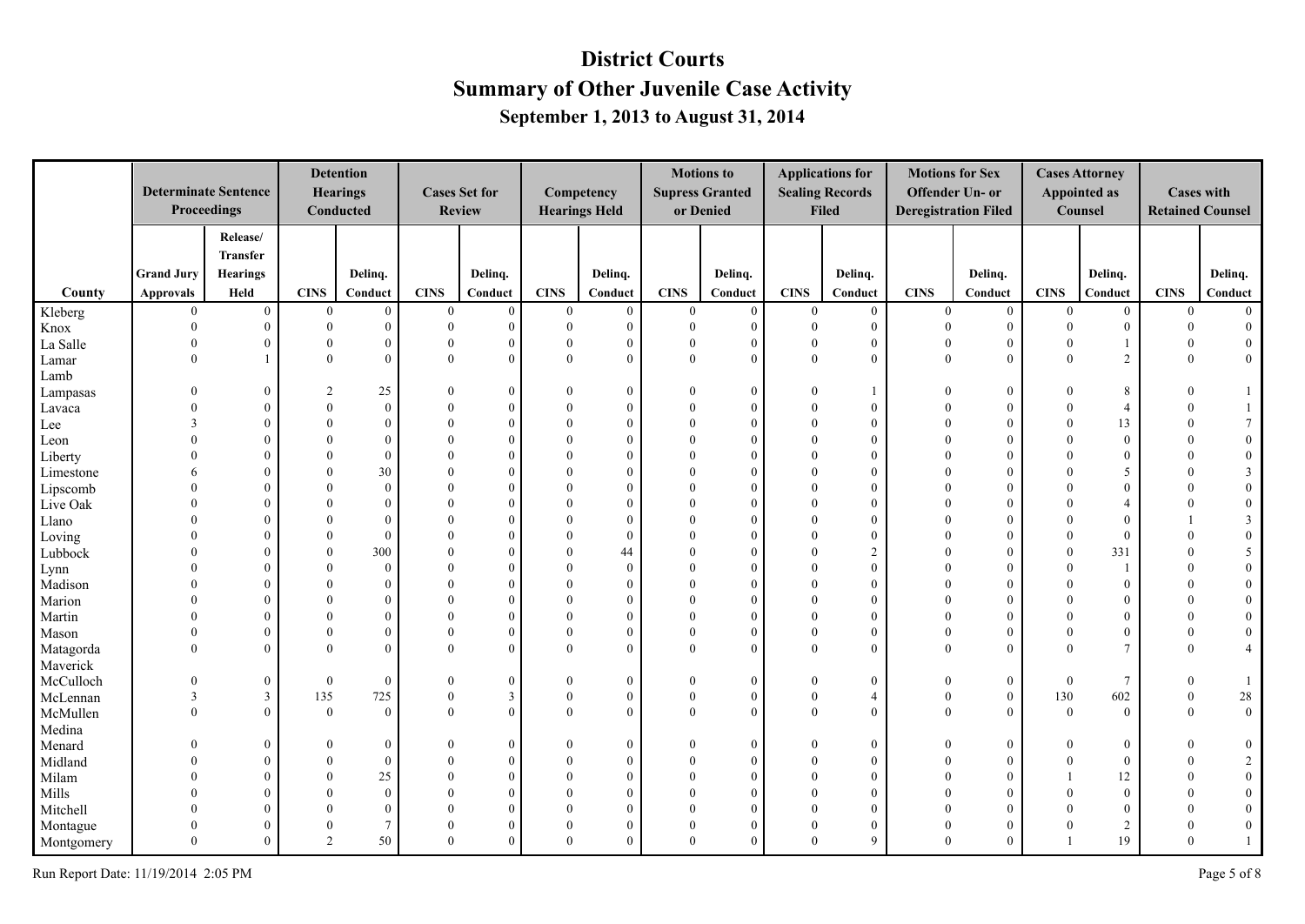|            |                   | <b>Determinate Sentence</b><br>Proceedings |                | <b>Detention</b><br><b>Hearings</b><br>Conducted |              | <b>Cases Set for</b><br><b>Review</b> |              | Competency<br><b>Hearings Held</b> |                | <b>Motions to</b><br><b>Supress Granted</b><br>or Denied |              | <b>Applications for</b><br><b>Sealing Records</b><br><b>Filed</b> |                | <b>Motions for Sex</b><br>Offender Un- or<br><b>Deregistration Filed</b> |              | <b>Cases Attorney</b><br><b>Appointed as</b><br>Counsel | <b>Cases with</b> | <b>Retained Counsel</b> |
|------------|-------------------|--------------------------------------------|----------------|--------------------------------------------------|--------------|---------------------------------------|--------------|------------------------------------|----------------|----------------------------------------------------------|--------------|-------------------------------------------------------------------|----------------|--------------------------------------------------------------------------|--------------|---------------------------------------------------------|-------------------|-------------------------|
|            |                   | Release/                                   |                |                                                  |              |                                       |              |                                    |                |                                                          |              |                                                                   |                |                                                                          |              |                                                         |                   |                         |
|            |                   | <b>Transfer</b>                            |                |                                                  |              |                                       |              |                                    |                |                                                          |              |                                                                   |                |                                                                          |              |                                                         |                   |                         |
|            | <b>Grand Jury</b> | <b>Hearings</b>                            |                | Delinq.                                          |              | Delinq.                               |              | Delinq.                            |                | Delinq.                                                  |              | Delinq.                                                           |                | Delinq.                                                                  |              | Delinq.                                                 |                   | Delinq.                 |
| County     | <b>Approvals</b>  | Held                                       | CINS           | Conduct                                          | <b>CINS</b>  | Conduct                               | CINS         | Conduct                            | <b>CINS</b>    | Conduct                                                  | <b>CINS</b>  | Conduct                                                           | <b>CINS</b>    | Conduct                                                                  | <b>CINS</b>  | Conduct                                                 | <b>CINS</b>       | Conduct                 |
| Kleberg    | $\theta$          | $\overline{0}$                             | $\mathbf{0}$   | $\mathbf{0}$                                     | $\mathbf{0}$ | $\boldsymbol{0}$                      | $\bf{0}$     | $\mathbf{0}$                       | $\overline{0}$ | $\overline{0}$                                           | $\mathbf{0}$ | $\boldsymbol{0}$                                                  | $\overline{0}$ | $\boldsymbol{0}$                                                         | $\mathbf{0}$ | $\mathbf{0}$                                            | $\overline{0}$    | $\mathbf{0}$            |
| Knox       | $\Omega$          | $\overline{0}$                             | $\mathbf{0}$   | $\Omega$                                         | $\Omega$     | $\mathbf{0}$                          | $\mathbf{0}$ | $\mathbf{0}$                       | $\mathbf{0}$   | $\Omega$                                                 | $\theta$     | $\mathbf{0}$                                                      | $\theta$       | $\overline{0}$                                                           | $\mathbf{0}$ | $\mathbf{0}$                                            | $\mathbf{0}$      | $\mathbf{0}$            |
| La Salle   | $\Omega$          | $\overline{0}$                             | $\theta$       | $\Omega$                                         |              | $\mathbf{0}$                          | $\mathbf{0}$ | $\overline{0}$                     | $\theta$       | $\theta$                                                 | $\theta$     | $\overline{0}$                                                    | $\theta$       | $\mathbf{0}$                                                             | $\theta$     | $\mathbf{1}$                                            | $\theta$          | $\overline{0}$          |
| Lamar      | $\Omega$          | $\mathbf{1}$                               | $\theta$       | $\Omega$                                         | $\Omega$     | $\theta$                              | $\mathbf{0}$ | $\theta$                           | $\theta$       | $\theta$                                                 | $\Omega$     | $\theta$                                                          | $\Omega$       | $\overline{0}$                                                           | $\theta$     | $\overline{2}$                                          | $\theta$          | $\mathbf{0}$            |
| Lamb       |                   |                                            |                |                                                  |              |                                       |              |                                    |                |                                                          |              |                                                                   |                |                                                                          |              |                                                         |                   |                         |
| Lampasas   |                   | $\overline{0}$                             | $\overline{2}$ | 25                                               |              | $\overline{0}$                        | $\mathbf{0}$ | $\theta$                           |                | $\theta$                                                 | $\Omega$     |                                                                   |                | $\overline{0}$                                                           | $\Omega$     | 8                                                       |                   | $\mathbf{1}$            |
| Lavaca     |                   | $\theta$                                   | $\theta$       | $\Omega$                                         |              | $\theta$                              | $\theta$     | $\theta$                           | $\Omega$       | $\Omega$                                                 | $\Omega$     | $\Omega$                                                          | $\Omega$       | $\overline{0}$                                                           | $\theta$     | $\overline{4}$                                          |                   | $\mathbf{1}$            |
| Lee        | $\mathbf{3}$      | $\theta$                                   | $\theta$       | $\Omega$                                         |              | $\Omega$                              | $\Omega$     | $\Omega$                           | $\Omega$       | $\Omega$                                                 | $\Omega$     | $\Omega$                                                          | $\Omega$       | $\Omega$                                                                 | $\theta$     | 13                                                      | $\Omega$          | $\tau$                  |
| Leon       |                   | $\overline{0}$                             | $\theta$       | $\Omega$                                         |              | $\mathbf{0}$                          | $\theta$     | $\theta$                           | $\theta$       | $\Omega$                                                 | $\Omega$     | $\theta$                                                          | $\Omega$       | $\mathbf{0}$                                                             | $\theta$     | $\boldsymbol{0}$                                        |                   | $\boldsymbol{0}$        |
| Liberty    |                   | $\Omega$                                   | $\theta$       | $\Omega$                                         |              | $\Omega$                              | $\Omega$     | $\Omega$                           | $\Omega$       | $\Omega$                                                 | $\Omega$     | $\Omega$                                                          | $\Omega$       | $\theta$                                                                 | $\Omega$     | $\mathbf{0}$                                            |                   | $\boldsymbol{0}$        |
| Limestone  |                   | $\theta$                                   | $\theta$       | 30                                               |              | $\Omega$                              | $\theta$     | $\Omega$                           | $\Omega$       | $\Omega$                                                 | $\Omega$     | $\Omega$                                                          | $\Omega$       | $\theta$                                                                 | $\Omega$     | 5                                                       |                   | $\mathfrak{Z}$          |
| Lipscomb   |                   | $\theta$                                   | $\Omega$       | $\Omega$                                         |              | $\Omega$                              | $\Omega$     | $\Omega$                           | $\Omega$       |                                                          | $\Omega$     | $\Omega$                                                          | $\Omega$       | $\theta$                                                                 | $\Omega$     | $\mathbf{0}$                                            |                   | $\boldsymbol{0}$        |
| Live Oak   |                   | $\theta$                                   | $\theta$       | $\Omega$                                         |              | $\theta$                              | $\Omega$     | $\theta$                           | $\Omega$       | $\Omega$                                                 |              | $\Omega$                                                          |                | $\theta$                                                                 | $\theta$     | $\overline{4}$                                          |                   | $\boldsymbol{0}$        |
| Llano      |                   | $\theta$                                   | $\theta$       | $\Omega$                                         |              | $\Omega$                              | $\theta$     | $\theta$                           | $\Omega$       | $\Omega$                                                 |              | $\Omega$                                                          |                | $\theta$                                                                 | $\Omega$     | $\theta$                                                |                   | $\mathfrak{Z}$          |
| Loving     |                   | $\theta$                                   | $\theta$       | $\Omega$                                         |              | $\Omega$                              | $\Omega$     | $\theta$                           | $\Omega$       | $\Omega$                                                 |              | $\Omega$                                                          | $\Omega$       | $\theta$                                                                 | $\theta$     | $\mathbf{0}$                                            |                   | $\boldsymbol{0}$        |
| Lubbock    |                   | $\theta$                                   | $\theta$       | 300                                              |              | $\Omega$                              | $\theta$     | 44                                 | $\Omega$       | $\Omega$                                                 | $\Omega$     | 2                                                                 | $\Omega$       | $\overline{0}$                                                           | $\theta$     | 331                                                     |                   | 5 <sup>5</sup>          |
| Lynn       |                   | $\mathbf{0}$                               | $\theta$       | $\Omega$                                         |              | $\theta$                              | $\Omega$     | $\theta$                           |                | $\Omega$                                                 |              | $\theta$                                                          |                | $\theta$                                                                 | $\theta$     | $\mathbf{1}$                                            |                   | $\mathbf{0}$            |
| Madison    |                   | $\theta$                                   | $\Omega$       | $\Omega$                                         |              | $\Omega$                              | $\theta$     | $\Omega$                           | $\Omega$       | $\Omega$                                                 | $\Omega$     | $\Omega$                                                          | $\Omega$       | $\theta$                                                                 | $\Omega$     | $\boldsymbol{0}$                                        |                   | $\bf{0}$                |
| Marion     |                   | $\overline{0}$                             | $\theta$       | $\Omega$                                         |              | $\Omega$                              | $\theta$     | $\Omega$                           | $\Omega$       |                                                          | $\Omega$     | $\Omega$                                                          | $\Omega$       | $\theta$                                                                 | $\Omega$     | $\mathbf{0}$                                            |                   | $\boldsymbol{0}$        |
| Martin     |                   | $\overline{0}$                             | $\theta$       | $\Omega$                                         |              | $\theta$                              | $\mathbf{0}$ | $\theta$                           | $\Omega$       | $\Omega$                                                 | $\Omega$     | $\Omega$                                                          | $\Omega$       | $\theta$                                                                 | $\theta$     | $\theta$                                                |                   | $\boldsymbol{0}$        |
| Mason      |                   | $\overline{0}$                             | $\theta$       | $\Omega$                                         |              | $\Omega$                              | $\mathbf{0}$ | $\mathbf{0}$                       | $\theta$       | $\Omega$                                                 | $\Omega$     | $\Omega$                                                          | $\Omega$       | $\theta$                                                                 | $\theta$     | $\theta$                                                |                   | $\boldsymbol{0}$        |
| Matagorda  | $\Omega$          | $\theta$                                   | $\theta$       | $\Omega$                                         |              | $\theta$                              | $\theta$     | $\theta$                           | $\theta$       | $\theta$                                                 | $\Omega$     | $\Omega$                                                          | $\Omega$       | $\theta$                                                                 | $\Omega$     | $\overline{7}$                                          | $\Omega$          | $\overline{4}$          |
| Maverick   |                   |                                            |                |                                                  |              |                                       |              |                                    |                |                                                          |              |                                                                   |                |                                                                          |              |                                                         |                   |                         |
| McCulloch  | $\Omega$          | $\overline{0}$                             | $\mathbf{0}$   | $\Omega$                                         |              | $\mathbf{0}$                          | $\bf{0}$     | $\mathbf{0}$                       | $\Omega$       | $\theta$                                                 | $\Omega$     | $\overline{0}$                                                    | $\Omega$       | $\overline{0}$                                                           | $\mathbf{0}$ | $\overline{7}$                                          | $\Omega$          |                         |
| McLennan   | 3                 | $\mathfrak{Z}$                             | 135            | 725                                              | $\Omega$     | $\mathbf{3}$                          | $\mathbf{0}$ | $\mathbf{0}$                       | $\theta$       | $\theta$                                                 | $\Omega$     | $\overline{4}$                                                    | $\theta$       | $\overline{0}$                                                           | 130          | 602                                                     | $\mathbf{0}$      | $28\,$                  |
| McMullen   | $\Omega$          | $\Omega$                                   | $\theta$       | $\Omega$                                         | $\Omega$     | $\Omega$                              | $\Omega$     | $\theta$                           | $\Omega$       | $\Omega$                                                 | $\Omega$     | $\Omega$                                                          | $\Omega$       | $\Omega$                                                                 | $\Omega$     | $\theta$                                                | $\Omega$          | $\overline{0}$          |
| Medina     |                   |                                            |                |                                                  |              |                                       |              |                                    |                |                                                          |              |                                                                   |                |                                                                          |              |                                                         |                   |                         |
| Menard     |                   | $\overline{0}$                             | $\theta$       | $\Omega$                                         |              | $\Omega$                              | $\Omega$     | $\mathbf{0}$                       | $\Omega$       | $\theta$                                                 | $\Omega$     | $\theta$                                                          |                | $\overline{0}$                                                           | $\Omega$     | $\boldsymbol{0}$                                        |                   | $\bf{0}$                |
| Midland    |                   | $\theta$                                   | $\theta$       | $\Omega$                                         |              | $\overline{0}$                        | $\theta$     | $\Omega$                           | $\Omega$       | $\Omega$                                                 |              | $\Omega$                                                          | $\Omega$       | $\overline{0}$                                                           | $\Omega$     | $\boldsymbol{0}$                                        |                   | $\overline{2}$          |
| Milam      |                   | $\theta$                                   | $\theta$       | 25                                               |              | $\theta$                              | $\theta$     | $\theta$                           | $\Omega$       | $\Omega$                                                 | $\Omega$     | $\Omega$                                                          | $\Omega$       | $\Omega$                                                                 |              | 12                                                      |                   | $0\,$                   |
| Mills      |                   | $\theta$                                   | $\theta$       | $\Omega$                                         |              | $\Omega$                              | $\theta$     | $\Omega$                           |                | $\Omega$                                                 |              | $\Omega$                                                          |                | $\theta$                                                                 | $\Omega$     | $\mathbf{0}$                                            |                   | $\boldsymbol{0}$        |
| Mitchell   |                   | $\theta$                                   | $\theta$       | $\Omega$                                         |              | $\Omega$                              | $\theta$     | $\Omega$                           |                |                                                          |              | $\Omega$                                                          |                | $\overline{0}$                                                           | $\Omega$     | $\theta$                                                |                   | $\overline{0}$          |
| Montague   |                   | $\overline{0}$                             | $\theta$       | $\overline{7}$                                   |              | $\Omega$                              | $\mathbf{0}$ | $\Omega$                           | $\Omega$       | 0                                                        | $\Omega$     | $\theta$                                                          | $\Omega$       | $\mathbf{0}$                                                             | $\Omega$     | $\overline{2}$                                          | $\Omega$          | $\boldsymbol{0}$        |
| Montgomery | $\Omega$          | $\Omega$                                   | $\overline{2}$ | 50                                               | $\Omega$     | $\Omega$                              | $\Omega$     | $\theta$                           | $\theta$       | $\Omega$                                                 | $\Omega$     | $\mathbf{Q}$                                                      | $\Omega$       | $\theta$                                                                 | $\mathbf{1}$ | 19                                                      | $\Omega$          | $\mathbf{1}$            |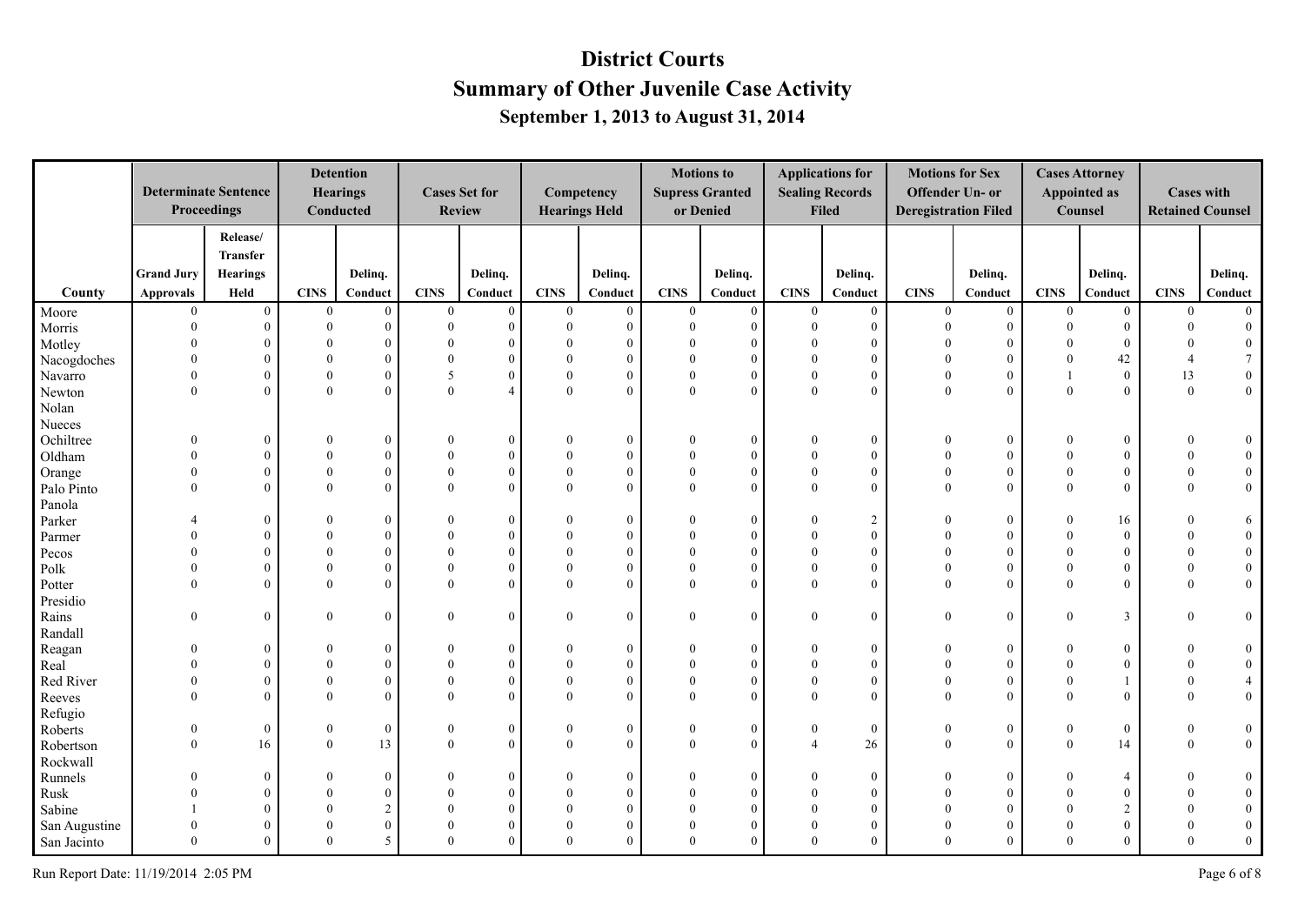|                    |                   | <b>Determinate Sentence</b><br>Proceedings |                          | <b>Detention</b><br><b>Hearings</b><br>Conducted |                          | <b>Cases Set for</b><br><b>Review</b> |                              | Competency<br><b>Hearings Held</b> | or Denied            | <b>Motions to</b><br><b>Supress Granted</b> |                      | <b>Applications for</b><br><b>Sealing Records</b><br><b>Filed</b> |                      | <b>Motions for Sex</b><br>Offender Un- or<br><b>Deregistration Filed</b> |                          | <b>Cases Attorney</b><br><b>Appointed as</b><br>Counsel | <b>Cases with</b><br><b>Retained Counsel</b> |                     |
|--------------------|-------------------|--------------------------------------------|--------------------------|--------------------------------------------------|--------------------------|---------------------------------------|------------------------------|------------------------------------|----------------------|---------------------------------------------|----------------------|-------------------------------------------------------------------|----------------------|--------------------------------------------------------------------------|--------------------------|---------------------------------------------------------|----------------------------------------------|---------------------|
|                    |                   | Release/                                   |                          |                                                  |                          |                                       |                              |                                    |                      |                                             |                      |                                                                   |                      |                                                                          |                          |                                                         |                                              |                     |
|                    |                   | <b>Transfer</b>                            |                          |                                                  |                          |                                       |                              |                                    |                      |                                             |                      |                                                                   |                      |                                                                          |                          |                                                         |                                              |                     |
|                    | <b>Grand Jury</b> | <b>Hearings</b>                            |                          | Delinq.                                          |                          | Delinq.                               |                              | Delinq.                            |                      | Delinq.                                     |                      | Delinq.                                                           |                      | Delinq.                                                                  |                          | Delinq.                                                 |                                              | Delinq.             |
| County             | <b>Approvals</b>  | Held                                       | CINS                     | Conduct                                          | <b>CINS</b>              | Conduct                               | CINS                         | Conduct                            | <b>CINS</b>          | Conduct                                     | <b>CINS</b>          | Conduct                                                           | <b>CINS</b>          | Conduct                                                                  | <b>CINS</b>              | Conduct                                                 | <b>CINS</b>                                  | Conduct             |
| Moore              | $\overline{0}$    | $\mathbf{0}$                               | $\boldsymbol{0}$         | $\overline{0}$                                   | $\overline{0}$           | $\boldsymbol{0}$                      | $\boldsymbol{0}$             | $\mathbf{0}$                       | $\bf{0}$             | $\mathbf{0}$                                | $\mathbf{0}$         | $\overline{0}$                                                    | $\mathbf{0}$         | $\overline{0}$                                                           | $\mathbf{0}$             | $\overline{0}$                                          | $\overline{0}$                               | $\Omega$            |
| Morris             | $\Omega$          | $\overline{0}$                             | $\theta$                 | $\theta$                                         | $\Omega$                 | $\theta$                              | $\mathbf{0}$                 | $\theta$                           | $\theta$             | $\theta$                                    | $\theta$             | $\mathbf{0}$                                                      | $\theta$             | $\overline{0}$                                                           | $\mathbf{0}$             | $\boldsymbol{0}$                                        | $\theta$                                     | $\mathbf{0}$        |
| Motley             | $\Omega$          | $\theta$                                   | $\Omega$                 | $\Omega$                                         |                          | $\Omega$                              | $\mathbf{0}$                 | $\Omega$                           | $\Omega$             | $\theta$                                    | $\Omega$             | $\mathbf{0}$                                                      | $\theta$             | $\theta$                                                                 | $\Omega$                 | $\overline{0}$                                          | $\Omega$                                     | $\mathbf{0}$        |
| Nacogdoches        | $\Omega$          | $\theta$                                   | $\Omega$                 | $\Omega$                                         |                          | $\Omega$                              | $\mathbf{0}$                 | $\Omega$                           | $\Omega$             | $\theta$                                    | $\Omega$             | $\theta$                                                          | $\Omega$             | $\Omega$                                                                 | $\Omega$                 | 42                                                      | $\Delta$                                     | $\overline{7}$      |
| Navarro            | $\Omega$          | $\overline{0}$                             | $\theta$                 | $\Omega$                                         | $\overline{\phantom{0}}$ |                                       | $\mathbf{0}$                 | $\theta$                           | $\Omega$             | $\Omega$                                    | $\Omega$             | $\mathbf{0}$                                                      | $\theta$             | $\theta$                                                                 |                          | $\boldsymbol{0}$                                        | 13                                           | $\boldsymbol{0}$    |
| Newton             | $\Omega$          | $\theta$                                   | $\theta$                 | $\Omega$                                         | $\Omega$                 | $\boldsymbol{\varLambda}$             | $\overline{0}$               | $\theta$                           | $\Omega$             | $\Omega$                                    | $\Omega$             | $\theta$                                                          | $\theta$             | $\Omega$                                                                 | $\Omega$                 | $\mathbf{0}$                                            | $\mathbf{0}$                                 | $\overline{0}$      |
| Nolan              |                   |                                            |                          |                                                  |                          |                                       |                              |                                    |                      |                                             |                      |                                                                   |                      |                                                                          |                          |                                                         |                                              |                     |
| Nueces             |                   |                                            |                          |                                                  |                          |                                       |                              |                                    |                      |                                             |                      |                                                                   |                      |                                                                          |                          |                                                         |                                              |                     |
| Ochiltree          |                   | $\mathbf{0}$                               | $\mathbf{0}$<br>$\Omega$ | $\theta$                                         | $\theta$                 | $\theta$<br>$\Omega$                  | $\boldsymbol{0}$             | $\mathbf{0}$                       | $\Omega$             | $\theta$                                    | $\theta$<br>$\Omega$ | $\boldsymbol{0}$                                                  | $\mathbf{0}$         | $\boldsymbol{0}$                                                         | $\mathbf{0}$<br>$\Omega$ | $\boldsymbol{0}$                                        | $\theta$                                     | $\bf{0}$            |
| Oldham             | $\Omega$          | $\overline{0}$                             |                          | $\Omega$                                         |                          |                                       | $\boldsymbol{0}$             | $\mathbf{0}$                       |                      | $\theta$                                    | $\Omega$             | $\mathbf{0}$                                                      | $\theta$<br>$\theta$ | $\theta$                                                                 |                          | $\boldsymbol{0}$                                        | $\Omega$                                     | $\mathbf{0}$        |
| Orange             | $\Omega$          | $\overline{0}$                             | $\theta$<br>$\theta$     | $\theta$<br>$\theta$                             | $\Omega$                 | $\Omega$<br>$\Omega$                  | $\boldsymbol{0}$<br>$\theta$ | $\theta$<br>$\Omega$               | $\theta$<br>$\Omega$ | $\theta$<br>$\Omega$                        | $\Omega$             | $\mathbf{0}$<br>$\theta$                                          | $\Omega$             | $\theta$<br>$\theta$                                                     | $\Omega$<br>$\Omega$     | $\boldsymbol{0}$                                        | $\theta$<br>$\Omega$                         | $\boldsymbol{0}$    |
| Palo Pinto         |                   | $\theta$                                   |                          |                                                  |                          |                                       |                              |                                    |                      |                                             |                      |                                                                   |                      |                                                                          |                          | $\mathbf{0}$                                            |                                              | $\overline{0}$      |
| Panola             |                   |                                            | $\Omega$                 |                                                  |                          | $\Omega$                              |                              |                                    | $\Omega$             | $\Omega$                                    | $\Omega$             |                                                                   | $\theta$             | $\theta$                                                                 | $\Omega$                 |                                                         |                                              |                     |
| Parker             | $\Omega$          | $\overline{0}$<br>$\theta$                 | $\Omega$                 | $\Omega$<br>$\Omega$                             |                          | $\Omega$                              | $\mathbf{0}$<br>$\theta$     | $\mathbf{0}$<br>$\Omega$           | $\Omega$             | $\Omega$                                    | $\Omega$             | $\overline{2}$<br>$\mathbf{0}$                                    | $\Omega$             | $\theta$                                                                 | $\Omega$                 | 16<br>$\mathbf{0}$                                      | $\Omega$                                     | 6<br>$\overline{0}$ |
| Parmer             |                   | $\theta$                                   | $\theta$                 | $\Omega$                                         |                          | $\Omega$                              | $\theta$                     | $\theta$                           | $\Omega$             | $\Omega$                                    | $\Omega$             | $\theta$                                                          | $\theta$             | $\theta$                                                                 | $\Omega$                 | $\mathbf{0}$                                            | $\Omega$                                     | $\mathbf{0}$        |
| Pecos<br>Polk      |                   | $\mathbf{0}$                               | $\theta$                 | $\Omega$                                         |                          | $\Omega$                              | $\overline{0}$               | $\theta$                           | $\theta$             | $\theta$                                    | $\Omega$             | $\theta$                                                          | $\theta$             | $\theta$                                                                 | $\Omega$                 | $\mathbf{0}$                                            | $\theta$                                     | $\mathbf{0}$        |
|                    | $\Omega$          | $\theta$                                   | $\Omega$                 | $\Omega$                                         | $\Omega$                 | $\Omega$                              | $\mathbf{0}$                 | $\theta$                           | $\Omega$             | $\theta$                                    | $\Omega$             | $\theta$                                                          | $\theta$             | $\theta$                                                                 | $\Omega$                 | $\mathbf{0}$                                            | $\Omega$                                     | $\overline{0}$      |
| Potter<br>Presidio |                   |                                            |                          |                                                  |                          |                                       |                              |                                    |                      |                                             |                      |                                                                   |                      |                                                                          |                          |                                                         |                                              |                     |
|                    | $\Omega$          | $\overline{0}$                             | $\mathbf{0}$             | $\mathbf{0}$                                     | $\Omega$                 | $\Omega$                              | $\boldsymbol{0}$             | $\mathbf{0}$                       | $\Omega$             | $\theta$                                    | $\mathbf{0}$         | $\boldsymbol{0}$                                                  | $\mathbf{0}$         | $\overline{0}$                                                           | $\theta$                 | 3                                                       | $\Omega$                                     | $\overline{0}$      |
| Rains<br>Randall   |                   |                                            |                          |                                                  |                          |                                       |                              |                                    |                      |                                             |                      |                                                                   |                      |                                                                          |                          |                                                         |                                              |                     |
| Reagan             | $\Omega$          | $\overline{0}$                             | $\theta$                 | $\Omega$                                         | $\Omega$                 | $\Omega$                              | $\boldsymbol{0}$             | $\mathbf{0}$                       | $\Omega$             | $\theta$                                    | $\Omega$             | $\boldsymbol{0}$                                                  | $\overline{0}$       | $\boldsymbol{0}$                                                         | $\Omega$                 | $\boldsymbol{0}$                                        | $\Omega$                                     | $\bf{0}$            |
| Real               | $\Omega$          | $\overline{0}$                             | $\Omega$                 | $\Omega$                                         |                          | $\Omega$                              | $\mathbf{0}$                 | $\theta$                           | $\Omega$             | $\Omega$                                    | $\Omega$             | $\mathbf{0}$                                                      | $\theta$             | $\overline{0}$                                                           | $\Omega$                 | $\mathbf{0}$                                            | $\Omega$                                     | $\overline{0}$      |
| Red River          |                   | $\overline{0}$                             | $\theta$                 | $\theta$                                         |                          | $\Omega$                              | $\boldsymbol{0}$             | $\mathbf{0}$                       | $\theta$             | $\theta$                                    | $\Omega$             | $\mathbf{0}$                                                      | $\theta$             | $\theta$                                                                 | $\Omega$                 |                                                         | $\Omega$                                     |                     |
| Reeves             | $\Omega$          | $\Omega$                                   | $\Omega$                 | $\Omega$                                         | $\Omega$                 | $\Omega$                              | $\theta$                     | $\Omega$                           | $\Omega$             | $\Omega$                                    | $\Omega$             | $\Omega$                                                          | $\Omega$             | $\theta$                                                                 | $\Omega$                 | $\theta$                                                | $\Omega$                                     | $\overline{0}$      |
| Refugio            |                   |                                            |                          |                                                  |                          |                                       |                              |                                    |                      |                                             |                      |                                                                   |                      |                                                                          |                          |                                                         |                                              |                     |
| Roberts            | $\theta$          | $\overline{0}$                             | $\boldsymbol{0}$         | $\bf{0}$                                         | $\theta$                 | $\mathbf{0}$                          | $\boldsymbol{0}$             | $\boldsymbol{0}$                   | $\Omega$             | $\mathbf{0}$                                | $\Omega$             | $\boldsymbol{0}$                                                  | $\boldsymbol{0}$     | $\bf{0}$                                                                 | $\mathbf{0}$             | $\boldsymbol{0}$                                        | $\mathbf{0}$                                 | $\bf{0}$            |
| Robertson          | $\Omega$          | 16                                         | $\mathbf{0}$             | 13                                               | $\theta$                 | $\Omega$                              | $\mathbf{0}$                 | $\mathbf{0}$                       | $\theta$             | $\theta$                                    | $\overline{4}$       | 26                                                                | $\mathbf{0}$         | $\overline{0}$                                                           | $\mathbf{0}$             | 14                                                      | $\mathbf{0}$                                 | $\overline{0}$      |
| Rockwall           |                   |                                            |                          |                                                  |                          |                                       |                              |                                    |                      |                                             |                      |                                                                   |                      |                                                                          |                          |                                                         |                                              |                     |
| Runnels            |                   | $\overline{0}$                             | $\theta$                 | $\Omega$                                         |                          | $\Omega$                              | $\bf{0}$                     | $\mathbf{0}$                       |                      | $\theta$                                    | $\Omega$             | $\bf{0}$                                                          | $\overline{0}$       | $\mathbf{0}$                                                             | $\theta$                 | $\overline{4}$                                          | $\Omega$                                     | $\boldsymbol{0}$    |
| Rusk               |                   | $\overline{0}$                             | $\Omega$                 | $\Omega$                                         |                          | $\Omega$                              | $\theta$                     | $\Omega$                           | $\Omega$             | $\Omega$                                    | $\Omega$             | $\theta$                                                          | $\theta$             | $\theta$                                                                 | $\Omega$                 | $\mathbf{0}$                                            | $\Omega$                                     | $\mathbf{0}$        |
| Sabine             |                   | $\theta$                                   | $\Omega$                 | $\overline{2}$                                   |                          | $\Omega$                              | $\theta$                     | $\Omega$                           | $\Omega$             | $\Omega$                                    | $\Omega$             | $\theta$                                                          | $\Omega$             | $\theta$                                                                 | $\Omega$                 | $\overline{2}$                                          | $\Omega$                                     | $\mathbf{0}$        |
| San Augustine      | $\Omega$          | $\Omega$                                   | $\Omega$                 | $\theta$                                         |                          | $\Omega$                              | $\mathbf{0}$                 | $\Omega$                           | $\Omega$             | $\Omega$                                    | $\Omega$             | $\theta$                                                          | $\theta$             | $\mathbf{0}$                                                             | $\Omega$                 | $\mathbf{0}$                                            | $\Omega$                                     | $\boldsymbol{0}$    |
| San Jacinto        | $\Omega$          | $\Omega$                                   | $\Omega$                 | 5                                                | $\Omega$                 | $\Omega$                              | $\theta$                     | $\theta$                           | $\Omega$             | $\theta$                                    | $\Omega$             | $\theta$                                                          | $\Omega$             | $\Omega$                                                                 | $\Omega$                 | $\theta$                                                | $\Omega$                                     | $\mathbf{0}$        |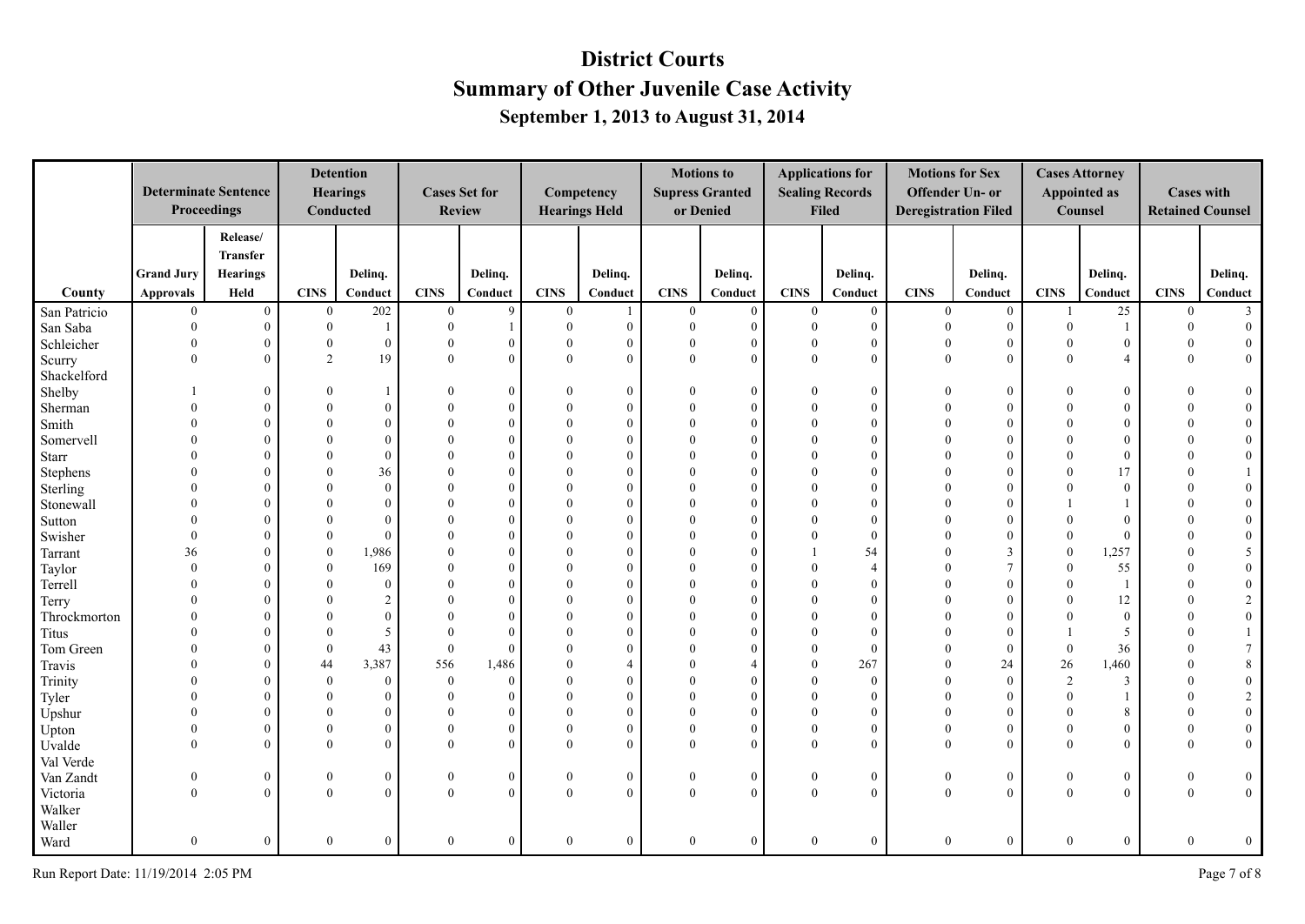|              |                      | <b>Determinate Sentence</b><br>Proceedings |                      | <b>Detention</b><br><b>Hearings</b><br>Conducted |                | <b>Cases Set for</b><br><b>Review</b> |                      | Competency<br><b>Hearings Held</b> |                | <b>Motions to</b><br><b>Supress Granted</b><br>or Denied |                      | <b>Applications for</b><br><b>Sealing Records</b><br><b>Filed</b> | <b>Motions for Sex</b> | Offender Un- or<br><b>Deregistration Filed</b> |                      | <b>Cases Attorney</b><br><b>Appointed as</b><br>Counsel | <b>Cases with</b><br><b>Retained Counsel</b> |                  |
|--------------|----------------------|--------------------------------------------|----------------------|--------------------------------------------------|----------------|---------------------------------------|----------------------|------------------------------------|----------------|----------------------------------------------------------|----------------------|-------------------------------------------------------------------|------------------------|------------------------------------------------|----------------------|---------------------------------------------------------|----------------------------------------------|------------------|
|              |                      | Release/                                   |                      |                                                  |                |                                       |                      |                                    |                |                                                          |                      |                                                                   |                        |                                                |                      |                                                         |                                              |                  |
|              |                      | <b>Transfer</b>                            |                      |                                                  |                |                                       |                      |                                    |                |                                                          |                      |                                                                   |                        |                                                |                      |                                                         |                                              |                  |
|              | <b>Grand Jury</b>    | <b>Hearings</b>                            |                      | Delinq.                                          |                | Delinq.                               |                      | Delinq.                            |                | Delinq.                                                  |                      | Delinq.                                                           |                        | Delinq.                                        |                      | Delinq.                                                 |                                              | Delinq.          |
| County       | <b>Approvals</b>     | Held                                       | CINS                 | Conduct                                          | <b>CINS</b>    | Conduct                               | CINS                 | Conduct                            | <b>CINS</b>    | Conduct                                                  | <b>CINS</b>          | Conduct                                                           | <b>CINS</b>            | Conduct                                        | <b>CINS</b>          | Conduct                                                 | <b>CINS</b>                                  | Conduct          |
| San Patricio | $\overline{0}$       | $\overline{0}$                             | $\mathbf{0}$         | 202                                              | $\overline{0}$ | 9                                     | $\boldsymbol{0}$     | 1                                  | $\bf{0}$       | $\overline{0}$                                           | $\boldsymbol{0}$     | $\overline{0}$                                                    | $\overline{0}$         | $\overline{0}$                                 | 1                    | 25                                                      | $\mathbf{0}$                                 | $\overline{3}$   |
| San Saba     | $\Omega$             | $\overline{0}$                             | $\boldsymbol{0}$     |                                                  | $\Omega$       |                                       | $\mathbf{0}$         | $\mathbf{0}$                       | $\mathbf{0}$   | $\theta$                                                 | $\theta$             | $\mathbf{0}$                                                      | $\theta$               | $\overline{0}$                                 | $\mathbf{0}$         | $\mathbf{1}$                                            | $\mathbf{0}$                                 | $\mathbf{0}$     |
| Schleicher   | $\Omega$             | $\overline{0}$                             | $\mathbf{0}$         | $\theta$                                         |                | $\overline{0}$                        | $\mathbf{0}$         | $\mathbf{0}$                       | $\mathbf{0}$   | $\mathbf{0}$                                             | $\Omega$             | $\theta$                                                          | $\Omega$               | $\overline{0}$                                 | $\theta$             | $\mathbf{0}$                                            | $\theta$                                     | $\mathbf{0}$     |
| Scurry       | $\Omega$             | $\theta$                                   | $\overline{2}$       | 19                                               | $\Omega$       | $\theta$                              | $\theta$             | $\theta$                           | $\theta$       | $\theta$                                                 | $\Omega$             | $\theta$                                                          | $\Omega$               | $\theta$                                       | $\theta$             | $\overline{4}$                                          | $\Omega$                                     | $\overline{0}$   |
| Shackelford  |                      |                                            |                      |                                                  |                |                                       |                      |                                    |                |                                                          |                      |                                                                   |                        |                                                |                      |                                                         |                                              |                  |
| Shelby       |                      | $\overline{0}$                             | $\Omega$             |                                                  |                | $\overline{0}$                        | $\theta$             | $\theta$                           |                | $\Omega$                                                 | $\Omega$             | $\theta$                                                          |                        | $\overline{0}$                                 | $\Omega$             | $\theta$                                                |                                              | $\overline{0}$   |
| Sherman      |                      | $\theta$                                   | $\theta$             |                                                  |                | $\Omega$                              | $\Omega$             | $\theta$                           | $\Omega$       | $\Omega$                                                 |                      | $\Omega$                                                          | $\Omega$               | $\overline{0}$                                 | $\Omega$             | $\mathbf{0}$                                            |                                              | $\overline{0}$   |
| Smith        |                      | $\Omega$                                   | $\theta$             | $\Omega$                                         |                | $\Omega$                              | $\Omega$             | $\Omega$                           | $\Omega$       | $\Omega$                                                 | $\Omega$             | $\Omega$                                                          | $\Omega$               | $\Omega$                                       | $\Omega$             | $\Omega$                                                |                                              | $\mathbf{0}$     |
| Somervell    |                      | $\theta$                                   | $\theta$             | $\Omega$                                         |                | $\theta$                              | $\theta$             | $\Omega$                           | $\Omega$       | $\Omega$                                                 |                      | $\theta$                                                          | $\Omega$               | $\overline{0}$                                 | $\theta$             | $\mathbf{0}$                                            |                                              | $\boldsymbol{0}$ |
| Starr        |                      | $\Omega$                                   | $\theta$             | $\Omega$                                         |                | $\Omega$                              | $\theta$             | $\Omega$                           |                | $\Omega$                                                 |                      | $\Omega$                                                          |                        | $\theta$                                       | $\Omega$             | $\mathbf{0}$                                            |                                              | $\boldsymbol{0}$ |
| Stephens     |                      | $\Omega$                                   | $\Omega$             | 36                                               |                | $\Omega$                              | $\theta$             | $\Omega$                           |                | $\Omega$                                                 |                      | $\Omega$                                                          |                        | $\Omega$                                       | $\Omega$             | 17                                                      |                                              | 1                |
| Sterling     |                      | $\theta$                                   | $\theta$             | $\Omega$                                         |                | $\Omega$                              | $\theta$             | $\Omega$                           | $\Omega$       |                                                          | $\Omega$             | $\Omega$                                                          |                        | $\theta$                                       | $\Omega$             | $\theta$                                                |                                              | $\overline{0}$   |
| Stonewall    |                      | $\theta$                                   | $\theta$             | $\Omega$                                         |                | $\Omega$                              | $\Omega$             | $\Omega$                           |                | $\Omega$                                                 |                      | $\Omega$                                                          |                        | $\theta$                                       |                      |                                                         |                                              | $\overline{0}$   |
| Sutton       |                      | $\theta$                                   | $\theta$             | $\Omega$                                         |                | $\Omega$                              | $\Omega$             | $\Omega$                           | $\Omega$       | $\Omega$                                                 |                      | $\Omega$                                                          |                        | $\Omega$                                       | $\theta$             | $\theta$                                                |                                              | $\mathbf{0}$     |
| Swisher      | $\Omega$             | $\theta$                                   | $\theta$             | $\Omega$                                         |                | $\Omega$                              | $\Omega$             | $\Omega$                           | $\Omega$       | $\Omega$                                                 | $\Omega$             | $\Omega$                                                          | $\Omega$               | $\Omega$                                       | $\Omega$             | $\theta$                                                |                                              | $\mathbf{0}$     |
| Tarrant      | 36                   | $\theta$                                   | $\mathbf{0}$         | 1,986                                            |                | $\theta$                              | $\Omega$             | $\Omega$                           | $\Omega$       | $\Omega$                                                 |                      | 54                                                                | $\Omega$               | 3                                              | $\mathbf{0}$         | 1,257                                                   |                                              | 5 <sup>5</sup>   |
| Taylor       | $\Omega$             | $\theta$                                   | $\theta$             | 169                                              |                | $\Omega$                              | $\Omega$             | $\Omega$                           |                | $\Omega$                                                 |                      | $\overline{A}$                                                    |                        | $\tau$                                         | $\Omega$             | 55                                                      |                                              | $\mathbf{0}$     |
| Terrell      | $\Omega$             | $\theta$                                   | $\Omega$             | $\Omega$                                         |                | $\Omega$                              | $\theta$             | $\Omega$                           |                | $\Omega$                                                 | $\Omega$             | $\Omega$                                                          | $\Omega$               | $\theta$                                       | $\Omega$             | -1                                                      |                                              | $\boldsymbol{0}$ |
| Terry        | $\Omega$             | $\theta$                                   | $\theta$             | 2                                                |                | $\Omega$                              | $\theta$             | $\Omega$                           | $\Omega$       |                                                          | $\Omega$             | $\Omega$                                                          |                        | $\theta$                                       | $\theta$             | 12                                                      |                                              | $\sqrt{2}$       |
| Throckmorton |                      | $\overline{0}$                             | $\theta$             | $\Omega$                                         |                | $\Omega$                              | $\theta$             | $\Omega$                           |                | $\Omega$                                                 |                      | $\Omega$                                                          |                        | $\overline{0}$                                 | $\theta$             | $\boldsymbol{0}$                                        |                                              | $\overline{0}$   |
| Titus        |                      | $\theta$                                   | $\theta$             | 5                                                |                | $\Omega$                              | $\Omega$             | $\Omega$                           | $\Omega$       | $\Omega$                                                 | $\Omega$             | $\Omega$                                                          |                        | $\overline{0}$                                 |                      | 5                                                       |                                              | $\mathbf{1}$     |
| Tom Green    |                      | $\theta$                                   | $\theta$             | 43                                               | $\theta$       | $\Omega$                              | $\theta$             |                                    |                | $\Omega$                                                 | $\Omega$             | $\theta$                                                          | $\Omega$               | $\overline{0}$                                 | $\mathbf{0}$         | 36                                                      |                                              | $\tau$           |
| Travis       | $\Omega$             | $\theta$                                   | 44                   | 3,387                                            | 556            | 1,486                                 | $\theta$             |                                    | $\Omega$       |                                                          | $\Omega$             | 267                                                               | $\Omega$<br>$\Omega$   | 24                                             | 26                   | 1,460                                                   | $\Omega$                                     | $\,8\,$          |
| Trinity      |                      | $\theta$                                   | $\theta$             | $\Omega$                                         | $\theta$       | $\mathbf{0}$                          | $\theta$             | $\Omega$<br>$\Omega$               | $\Omega$       | $\Omega$                                                 |                      | $\theta$                                                          | $\Omega$               | $\mathbf{0}$                                   | 2                    | 3                                                       |                                              | $\boldsymbol{0}$ |
| Tyler        | $\Omega$             | $\theta$                                   | $\theta$<br>$\Omega$ | $\Omega$                                         |                | $\theta$                              | $\theta$<br>$\theta$ | $\Omega$                           | $\Omega$       | $\Omega$                                                 | $\Omega$             | $\Omega$                                                          | $\Omega$               | $\Omega$                                       | $\Omega$<br>$\Omega$ | $\mathbf{1}$                                            | $\Omega$<br>$\Omega$                         | $\overline{2}$   |
| Upshur       |                      | $\theta$                                   |                      | $\Omega$                                         |                | $\theta$                              |                      |                                    |                |                                                          |                      | $\Omega$                                                          |                        | $\Omega$                                       |                      | 8                                                       |                                              | $\boldsymbol{0}$ |
| Upton        | $\Omega$<br>$\Omega$ | $\overline{0}$                             | $\mathbf{0}$         | $\theta$                                         | $\Omega$       | $\mathbf{0}$                          | $\mathbf{0}$         | $\overline{0}$                     | $\mathbf{0}$   | $\Omega$                                                 | $\theta$<br>$\Omega$ | $\overline{0}$                                                    | $\Omega$<br>$\Omega$   | $\overline{0}$                                 | $\Omega$             | $\boldsymbol{0}$                                        | $\theta$                                     | $\bf{0}$         |
| Uvalde       |                      | $\overline{0}$                             | $\mathbf{0}$         | $\Omega$                                         |                | $\theta$                              | $\mathbf{0}$         | $\theta$                           | $\theta$       | $\theta$                                                 |                      | $\theta$                                                          |                        | $\overline{0}$                                 | $\theta$             | $\overline{0}$                                          | $\theta$                                     | $\overline{0}$   |
| Val Verde    |                      |                                            |                      |                                                  |                |                                       |                      |                                    |                |                                                          |                      |                                                                   |                        |                                                |                      |                                                         |                                              |                  |
| Van Zandt    | $\theta$             | $\overline{0}$                             | $\mathbf{0}$         | $\boldsymbol{0}$                                 | $\mathbf{0}$   | $\mathbf{0}$                          | $\bf{0}$             | $\bf{0}$                           | $\mathbf{0}$   | $\bf{0}$                                                 | $\boldsymbol{0}$     | $\boldsymbol{0}$                                                  | $\boldsymbol{0}$       | $\overline{0}$                                 | $\mathbf{0}$         | $\boldsymbol{0}$                                        | $\bf{0}$                                     | $\boldsymbol{0}$ |
| Victoria     | $\Omega$             | $\overline{0}$                             | $\theta$             | $\theta$                                         | $\Omega$       | $\theta$                              | $\mathbf{0}$         | $\theta$                           | $\theta$       | $\theta$                                                 | $\theta$             | $\overline{0}$                                                    | $\theta$               | $\overline{0}$                                 | $\theta$             | $\overline{0}$                                          | $\theta$                                     | $\overline{0}$   |
| Walker       |                      |                                            |                      |                                                  |                |                                       |                      |                                    |                |                                                          |                      |                                                                   |                        |                                                |                      |                                                         |                                              |                  |
| Waller       |                      |                                            |                      |                                                  |                |                                       |                      |                                    |                |                                                          |                      |                                                                   |                        |                                                |                      |                                                         |                                              |                  |
| Ward         | $\theta$             | $\overline{0}$                             | $\theta$             | $\mathbf{0}$                                     | $\theta$       | $\overline{0}$                        | $\mathbf{0}$         | $\mathbf{0}$                       | $\overline{0}$ | $\theta$                                                 | $\theta$             | $\mathbf{0}$                                                      | $\mathbf{0}$           | $\overline{0}$                                 | $\theta$             | $\mathbf{0}$                                            | $\Omega$                                     | $\mathbf{0}$     |